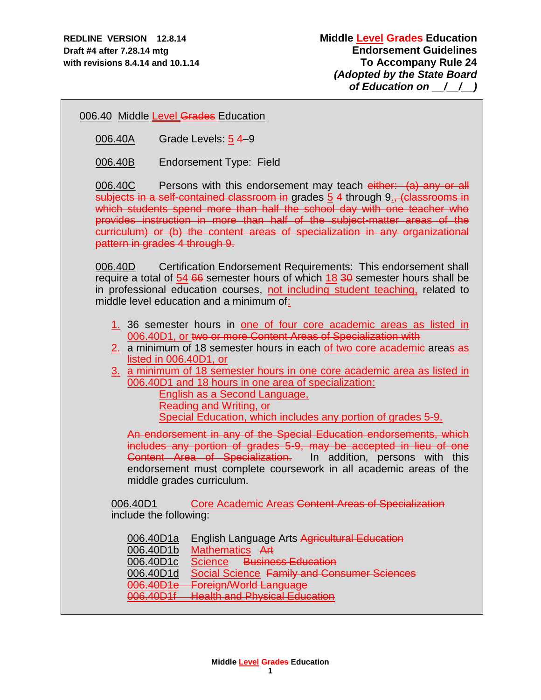006.40 Middle Level Grades Education

006.40A Grade Levels: 5 4–9

006.40B Endorsement Type: Field

006.40C Persons with this endorsement may teach either: (a) any or all subjects in a self-contained classroom in grades 5 4 through 9., (classrooms in which students spend more than half the school day with one teacher who provides instruction in more than half of the subject-matter areas of the curriculum) or (b) the content areas of specialization in any organizational pattern in grades 4 through 9.

006.40D Certification Endorsement Requirements: This endorsement shall require a total of 54 66 semester hours of which 18 30 semester hours shall be in professional education courses, not including student teaching, related to middle level education and a minimum of:

- 1. 36 semester hours in one of four core academic areas as listed in 006.40D1, or two or more Content Areas of Specialization with
- 2. a minimum of 18 semester hours in each of two core academic areas as listed in 006.40D1, or
- 3. a minimum of 18 semester hours in one core academic area as listed in 006.40D1 and 18 hours in one area of specialization:

English as a Second Language, Reading and Writing, or Special Education, which includes any portion of grades 5-9.

An endorsement in any of the Special Education endorsements, which includes any portion of grades 5-9, may be accepted in lieu of one Content Area of Specialization. In addition, persons with this endorsement must complete coursework in all academic areas of the middle grades curriculum.

006.40D1 Core Academic Areas Content Areas of Specialization include the following:

| 006.40D1a                                        | <b>English Language Arts Agricultural Education</b> |
|--------------------------------------------------|-----------------------------------------------------|
| 006.40D1b                                        | Mathematics Art                                     |
| 006.40D1c                                        | Science Business Education                          |
| 006.40D1d                                        | Social Science Family and Consumer Sciences         |
| $006$ $\triangle$ $001$<br><del>uuu.4UD 10</del> | <b>Foreign/World Language</b>                       |
| $006$ $10D1$<br><del>000. TOD 11</del>           | <b>Health and Physical Education</b>                |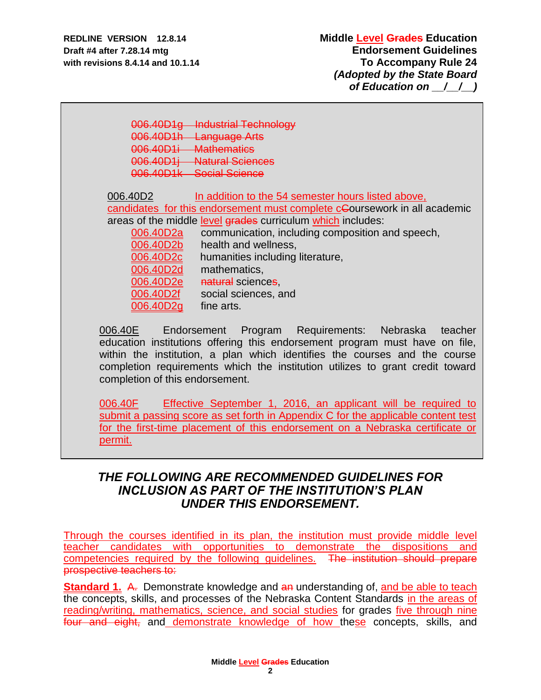006.40D1g Industrial Technology 006.40D1h Language Arts 006.40D1i Mathematics 006.40D1j Natural Sciences 006.40D1k Social Science 006.40D2 In addition to the 54 semester hours listed above, candidates for this endorsement must complete cCoursework in all academic areas of the middle level grades curriculum which includes: 006.40D2a communication, including composition and speech, 006.40D2b health and wellness, 006.40D2c humanities including literature, 006.40D2d mathematics, 006.40D2e natural sciences. 006.40D2f social sciences, and 006.40D2g fine arts.

006.40E Endorsement Program Requirements: Nebraska teacher education institutions offering this endorsement program must have on file, within the institution, a plan which identifies the courses and the course completion requirements which the institution utilizes to grant credit toward completion of this endorsement.

006.40F Effective September 1, 2016, an applicant will be required to submit a passing score as set forth in Appendix C for the applicable content test for the first-time placement of this endorsement on a Nebraska certificate or permit.

# *THE FOLLOWING ARE RECOMMENDED GUIDELINES FOR INCLUSION AS PART OF THE INSTITUTION'S PLAN UNDER THIS ENDORSEMENT.*

Through the courses identified in its plan, the institution must provide middle level teacher candidates with opportunities to demonstrate the dispositions and competencies required by the following guidelines. The institution should prepare prospective teachers to:

**Standard 1.** A. Demonstrate knowledge and an understanding of, and be able to teach the concepts, skills, and processes of the Nebraska Content Standards in the areas of reading/writing, mathematics, science, and social studies for grades five through nine four and eight, and demonstrate knowledge of how these concepts, skills, and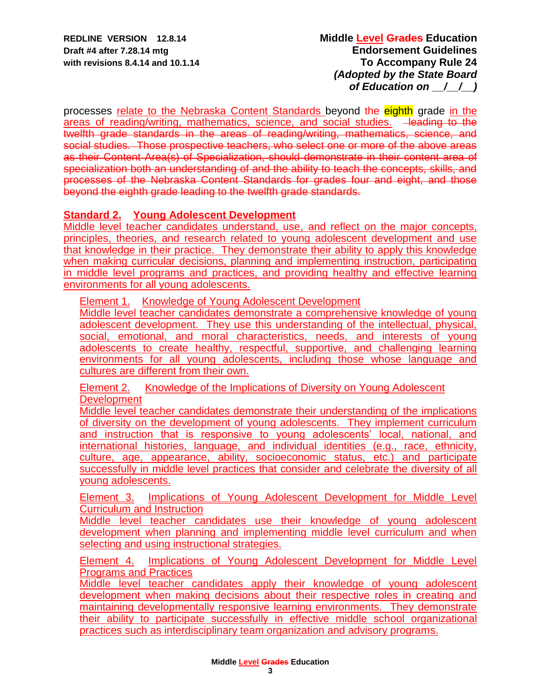processes relate to the Nebraska Content Standards beyond the eighth grade in the areas of reading/writing, mathematics, science, and social studies. -leading to the twelfth grade standards in the areas of reading/writing, mathematics, science, and social studies. Those prospective teachers, who select one or more of the above areas as their Content Area(s) of Specialization, should demonstrate in their content area of specialization both an understanding of and the ability to teach the concepts, skills, and processes of the Nebraska Content Standards for grades four and eight, and those beyond the eighth grade leading to the twelfth grade standards.

## **Standard 2. Young Adolescent Development**

Middle level teacher candidates understand, use, and reflect on the major concepts, principles, theories, and research related to young adolescent development and use that knowledge in their practice. They demonstrate their ability to apply this knowledge when making curricular decisions, planning and implementing instruction, participating in middle level programs and practices, and providing healthy and effective learning environments for all young adolescents.

**Element 1. Knowledge of Young Adolescent Development** 

Middle level teacher candidates demonstrate a comprehensive knowledge of young adolescent development. They use this understanding of the intellectual, physical, social, emotional, and moral characteristics, needs, and interests of young adolescents to create healthy, respectful, supportive, and challenging learning environments for all young adolescents, including those whose language and cultures are different from their own.

Element 2. Knowledge of the Implications of Diversity on Young Adolescent **Development** 

Middle level teacher candidates demonstrate their understanding of the implications of diversity on the development of young adolescents. They implement curriculum and instruction that is responsive to young adolescents' local, national, and international histories, language, and individual identities (e.g., race, ethnicity, culture, age, appearance, ability, socioeconomic status, etc.) and participate successfully in middle level practices that consider and celebrate the diversity of all young adolescents.

Element 3. Implications of Young Adolescent Development for Middle Level Curriculum and Instruction

Middle level teacher candidates use their knowledge of young adolescent development when planning and implementing middle level curriculum and when selecting and using instructional strategies.

Element 4. Implications of Young Adolescent Development for Middle Level Programs and Practices

Middle level teacher candidates apply their knowledge of young adolescent development when making decisions about their respective roles in creating and maintaining developmentally responsive learning environments. They demonstrate their ability to participate successfully in effective middle school organizational practices such as interdisciplinary team organization and advisory programs.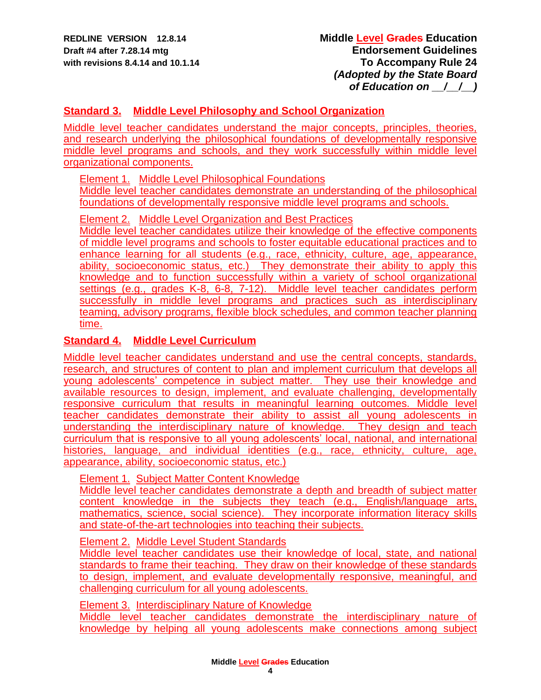# **Standard 3. Middle Level Philosophy and School Organization**

Middle level teacher candidates understand the major concepts, principles, theories, and research underlying the philosophical foundations of developmentally responsive middle level programs and schools, and they work successfully within middle level organizational components.

Element 1. Middle Level Philosophical Foundations

Middle level teacher candidates demonstrate an understanding of the philosophical foundations of developmentally responsive middle level programs and schools.

Element 2. Middle Level Organization and Best Practices

Middle level teacher candidates utilize their knowledge of the effective components of middle level programs and schools to foster equitable educational practices and to enhance learning for all students (e.g., race, ethnicity, culture, age, appearance, ability, socioeconomic status, etc.) They demonstrate their ability to apply this knowledge and to function successfully within a variety of school organizational settings (e.g., grades K-8, 6-8, 7-12). Middle level teacher candidates perform successfully in middle level programs and practices such as interdisciplinary teaming, advisory programs, flexible block schedules, and common teacher planning time.

## **Standard 4. Middle Level Curriculum**

Middle level teacher candidates understand and use the central concepts, standards, research, and structures of content to plan and implement curriculum that develops all young adolescents' competence in subject matter. They use their knowledge and available resources to design, implement, and evaluate challenging, developmentally responsive curriculum that results in meaningful learning outcomes. Middle level teacher candidates demonstrate their ability to assist all young adolescents in understanding the interdisciplinary nature of knowledge. They design and teach curriculum that is responsive to all young adolescents' local, national, and international histories, language, and individual identities (e.g., race, ethnicity, culture, age, appearance, ability, socioeconomic status, etc.)

Element 1. Subject Matter Content Knowledge

Middle level teacher candidates demonstrate a depth and breadth of subject matter content knowledge in the subjects they teach (e.g., English/language arts, mathematics, science, social science). They incorporate information literacy skills and state-of-the-art technologies into teaching their subjects.

### Element 2. Middle Level Student Standards

Middle level teacher candidates use their knowledge of local, state, and national standards to frame their teaching. They draw on their knowledge of these standards to design, implement, and evaluate developmentally responsive, meaningful, and challenging curriculum for all young adolescents.

Element 3. Interdisciplinary Nature of Knowledge

Middle level teacher candidates demonstrate the interdisciplinary nature of knowledge by helping all young adolescents make connections among subject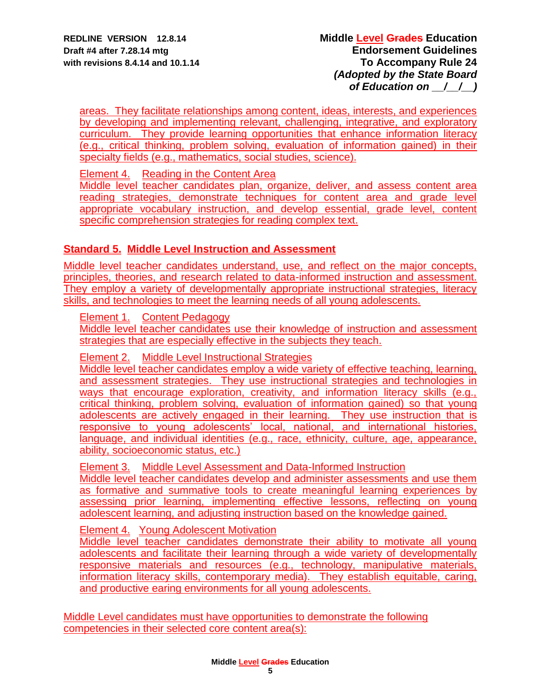areas. They facilitate relationships among content, ideas, interests, and experiences by developing and implementing relevant, challenging, integrative, and exploratory curriculum. They provide learning opportunities that enhance information literacy (e.g., critical thinking, problem solving, evaluation of information gained) in their specialty fields (e.g., mathematics, social studies, science).

Element 4. Reading in the Content Area

Middle level teacher candidates plan, organize, deliver, and assess content area reading strategies, demonstrate techniques for content area and grade level appropriate vocabulary instruction, and develop essential, grade level, content specific comprehension strategies for reading complex text.

## **Standard 5. Middle Level Instruction and Assessment**

Middle level teacher candidates understand, use, and reflect on the major concepts, principles, theories, and research related to data-informed instruction and assessment. They employ a variety of developmentally appropriate instructional strategies, literacy skills, and technologies to meet the learning needs of all young adolescents.

Element 1. Content Pedagogy

Middle level teacher candidates use their knowledge of instruction and assessment strategies that are especially effective in the subjects they teach.

Element 2. Middle Level Instructional Strategies

Middle level teacher candidates employ a wide variety of effective teaching, learning, and assessment strategies. They use instructional strategies and technologies in ways that encourage exploration, creativity, and information literacy skills (e.g., critical thinking, problem solving, evaluation of information gained) so that young adolescents are actively engaged in their learning. They use instruction that is responsive to young adolescents' local, national, and international histories, language, and individual identities (e.g., race, ethnicity, culture, age, appearance, ability, socioeconomic status, etc.)

Element 3. Middle Level Assessment and Data-Informed Instruction

Middle level teacher candidates develop and administer assessments and use them as formative and summative tools to create meaningful learning experiences by assessing prior learning, implementing effective lessons, reflecting on young adolescent learning, and adjusting instruction based on the knowledge gained.

Element 4. Young Adolescent Motivation

Middle level teacher candidates demonstrate their ability to motivate all young adolescents and facilitate their learning through a wide variety of developmentally responsive materials and resources (e.g., technology, manipulative materials, information literacy skills, contemporary media). They establish equitable, caring, and productive earing environments for all young adolescents.

Middle Level candidates must have opportunities to demonstrate the following competencies in their selected core content area(s):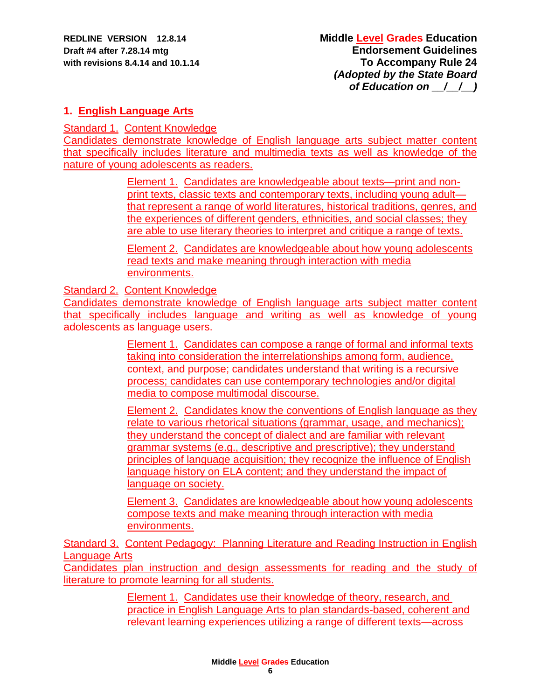## **1. English Language Arts**

Standard 1. Content Knowledge

Candidates demonstrate knowledge of English language arts subject matter content that specifically includes literature and multimedia texts as well as knowledge of the nature of young adolescents as readers.

> Element 1. Candidates are knowledgeable about texts—print and nonprint texts, classic texts and contemporary texts, including young adult that represent a range of world literatures, historical traditions, genres, and the experiences of different genders, ethnicities, and social classes; they are able to use literary theories to interpret and critique a range of texts.

Element 2. Candidates are knowledgeable about how young adolescents read texts and make meaning through interaction with media environments.

Standard 2. Content Knowledge

Candidates demonstrate knowledge of English language arts subject matter content that specifically includes language and writing as well as knowledge of young adolescents as language users.

> Element 1. Candidates can compose a range of formal and informal texts taking into consideration the interrelationships among form, audience, context, and purpose; candidates understand that writing is a recursive process; candidates can use contemporary technologies and/or digital media to compose multimodal discourse.

Element 2. Candidates know the conventions of English language as they relate to various rhetorical situations (grammar, usage, and mechanics); they understand the concept of dialect and are familiar with relevant grammar systems (e.g., descriptive and prescriptive); they understand principles of language acquisition; they recognize the influence of English language history on ELA content; and they understand the impact of language on society.

Element 3. Candidates are knowledgeable about how young adolescents compose texts and make meaning through interaction with media environments.

Standard 3. Content Pedagogy: Planning Literature and Reading Instruction in English Language Arts

Candidates plan instruction and design assessments for reading and the study of literature to promote learning for all students.

> Element 1. Candidates use their knowledge of theory, research, and practice in English Language Arts to plan standards-based, coherent and relevant learning experiences utilizing a range of different texts—across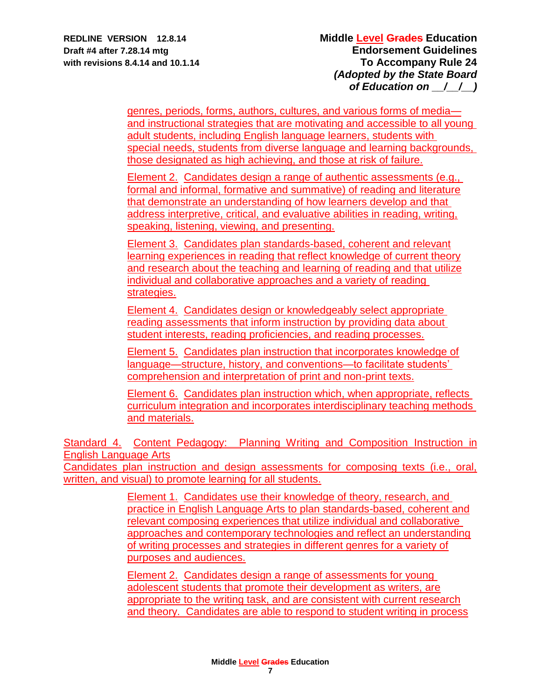genres, periods, forms, authors, cultures, and various forms of media and instructional strategies that are motivating and accessible to all young adult students, including English language learners, students with special needs, students from diverse language and learning backgrounds, those designated as high achieving, and those at risk of failure.

Element 2. Candidates design a range of authentic assessments (e.g., formal and informal, formative and summative) of reading and literature that demonstrate an understanding of how learners develop and that address interpretive, critical, and evaluative abilities in reading, writing, speaking, listening, viewing, and presenting.

Element 3. Candidates plan standards-based, coherent and relevant learning experiences in reading that reflect knowledge of current theory and research about the teaching and learning of reading and that utilize individual and collaborative approaches and a variety of reading strategies.

Element 4. Candidates design or knowledgeably select appropriate reading assessments that inform instruction by providing data about student interests, reading proficiencies, and reading processes.

Element 5. Candidates plan instruction that incorporates knowledge of language—structure, history, and conventions—to facilitate students' comprehension and interpretation of print and non-print texts.

Element 6. Candidates plan instruction which, when appropriate, reflects curriculum integration and incorporates interdisciplinary teaching methods and materials.

Standard 4. Content Pedagogy: Planning Writing and Composition Instruction in English Language Arts

Candidates plan instruction and design assessments for composing texts (i.e., oral, written, and visual) to promote learning for all students.

> Element 1. Candidates use their knowledge of theory, research, and practice in English Language Arts to plan standards-based, coherent and relevant composing experiences that utilize individual and collaborative approaches and contemporary technologies and reflect an understanding of writing processes and strategies in different genres for a variety of purposes and audiences.

Element 2. Candidates design a range of assessments for young adolescent students that promote their development as writers, are appropriate to the writing task, and are consistent with current research and theory. Candidates are able to respond to student writing in process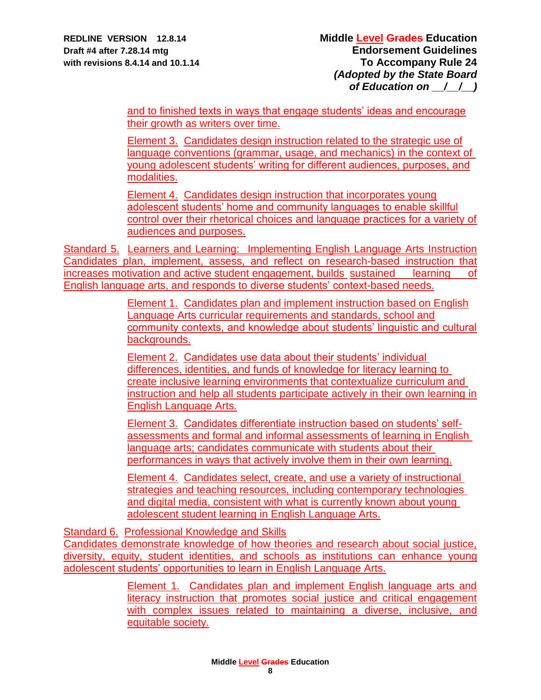and to finished texts in ways that engage students' ideas and encourage their growth as writers over time.

Element 3. Candidates design instruction related to the strategic use of language conventions (grammar, usage, and mechanics) in the context of young adolescent students' writing for different audiences, purposes, and modalities.

Element 4. Candidates design instruction that incorporates young adolescent students' home and community languages to enable skillful control over their rhetorical choices and language practices for a variety of audiences and purposes.

Standard 5. Learners and Learning: Implementing English Language Arts Instruction Candidates plan, implement, assess, and reflect on research-based instruction that increases motivation and active student engagement, builds sustained learning of English language arts, and responds to diverse students' context-based needs.

> Element 1. Candidates plan and implement instruction based on English Language Arts curricular requirements and standards, school and community contexts, and knowledge about students' linguistic and cultural backgrounds.

> Element 2. Candidates use data about their students' individual differences, identities, and funds of knowledge for literacy learning to create inclusive learning environments that contextualize curriculum and instruction and help all students participate actively in their own learning in English Language Arts.

Element 3. Candidates differentiate instruction based on students' selfassessments and formal and informal assessments of learning in English language arts; candidates communicate with students about their performances in ways that actively involve them in their own learning.

Element 4. Candidates select, create, and use a variety of instructional strategies and teaching resources, including contemporary technologies and digital media, consistent with what is currently known about young adolescent student learning in English Language Arts.

Standard 6. Professional Knowledge and Skills

Candidates demonstrate knowledge of how theories and research about social justice, diversity, equity, student identities, and schools as institutions can enhance young adolescent students' opportunities to learn in English Language Arts.

> Element 1. Candidates plan and implement English language arts and literacy instruction that promotes social justice and critical engagement with complex issues related to maintaining a diverse, inclusive, and equitable society.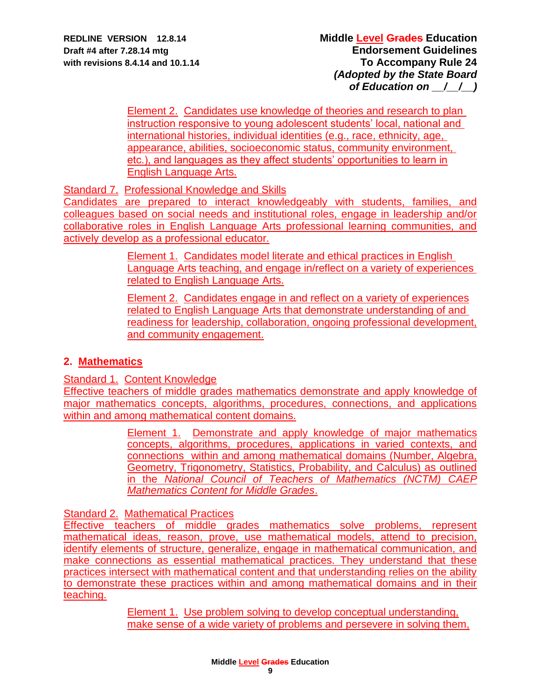Element 2. Candidates use knowledge of theories and research to plan instruction responsive to young adolescent students' local, national and international histories, individual identities (e.g., race, ethnicity, age, appearance, abilities, socioeconomic status, community environment, etc.), and languages as they affect students' opportunities to learn in English Language Arts.

Standard 7. Professional Knowledge and Skills

Candidates are prepared to interact knowledgeably with students, families, and colleagues based on social needs and institutional roles, engage in leadership and/or collaborative roles in English Language Arts professional learning communities, and actively develop as a professional educator.

> Element 1. Candidates model literate and ethical practices in English Language Arts teaching, and engage in/reflect on a variety of experiences related to English Language Arts.

> Element 2. Candidates engage in and reflect on a variety of experiences related to English Language Arts that demonstrate understanding of and readiness for leadership, collaboration, ongoing professional development, and community engagement.

# **2. Mathematics**

Standard 1. Content Knowledge

Effective teachers of middle grades mathematics demonstrate and apply knowledge of major mathematics concepts, algorithms, procedures, connections, and applications within and among mathematical content domains.

> Element 1. Demonstrate and apply knowledge of major mathematics concepts, algorithms, procedures, applications in varied contexts, and connections within and among mathematical domains (Number, Algebra, Geometry, Trigonometry, Statistics, Probability, and Calculus) as outlined in the *National Council of Teachers of Mathematics (NCTM) CAEP Mathematics Content for Middle Grades*.

Standard 2. Mathematical Practices

Effective teachers of middle grades mathematics solve problems, represent mathematical ideas, reason, prove, use mathematical models, attend to precision, identify elements of structure, generalize, engage in mathematical communication, and make connections as essential mathematical practices. They understand that these practices intersect with mathematical content and that understanding relies on the ability to demonstrate these practices within and among mathematical domains and in their teaching.

> Element 1. Use problem solving to develop conceptual understanding, make sense of a wide variety of problems and persevere in solving them,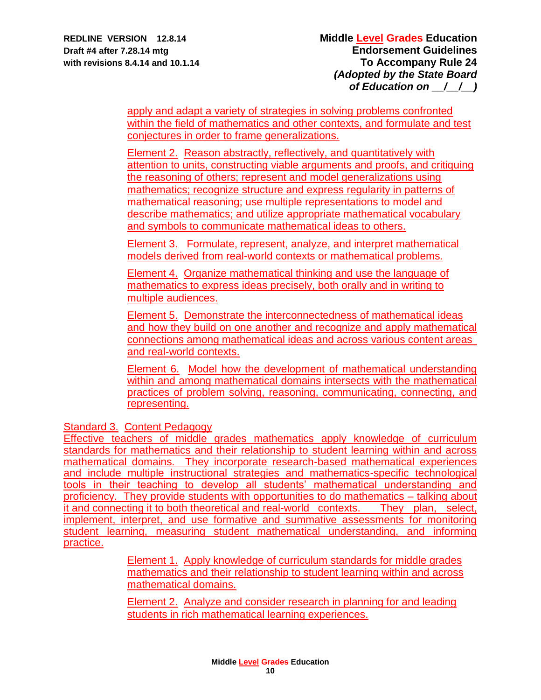apply and adapt a variety of strategies in solving problems confronted within the field of mathematics and other contexts, and formulate and test conjectures in order to frame generalizations.

Element 2.Reason abstractly, reflectively, and quantitatively with attention to units, constructing viable arguments and proofs, and critiquing the reasoning of others; represent and model generalizations using mathematics; recognize structure and express regularity in patterns of mathematical reasoning; use multiple representations to model and describe mathematics; and utilize appropriate mathematical vocabulary and symbols to communicate mathematical ideas to others.

Element 3. Formulate, represent, analyze, and interpret mathematical models derived from real-world contexts or mathematical problems.

Element 4. Organize mathematical thinking and use the language of mathematics to express ideas precisely, both orally and in writing to multiple audiences.

Element 5. Demonstrate the interconnectedness of mathematical ideas and how they build on one another and recognize and apply mathematical connections among mathematical ideas and across various content areas and real-world contexts.

Element 6. Model how the development of mathematical understanding within and among mathematical domains intersects with the mathematical practices of problem solving, reasoning, communicating, connecting, and representing.

Standard 3. Content Pedagogy

Effective teachers of middle grades mathematics apply knowledge of curriculum standards for mathematics and their relationship to student learning within and across mathematical domains. They incorporate research-based mathematical experiences and include multiple instructional strategies and mathematics-specific technological tools in their teaching to develop all students' mathematical understanding and proficiency. They provide students with opportunities to do mathematics – talking about it and connecting it to both theoretical and real-world contexts. They plan, select, implement, interpret, and use formative and summative assessments for monitoring student learning, measuring student mathematical understanding, and informing practice.

> Element 1. Apply knowledge of curriculum standards for middle grades mathematics and their relationship to student learning within and across mathematical domains.

Element 2. Analyze and consider research in planning for and leading students in rich mathematical learning experiences.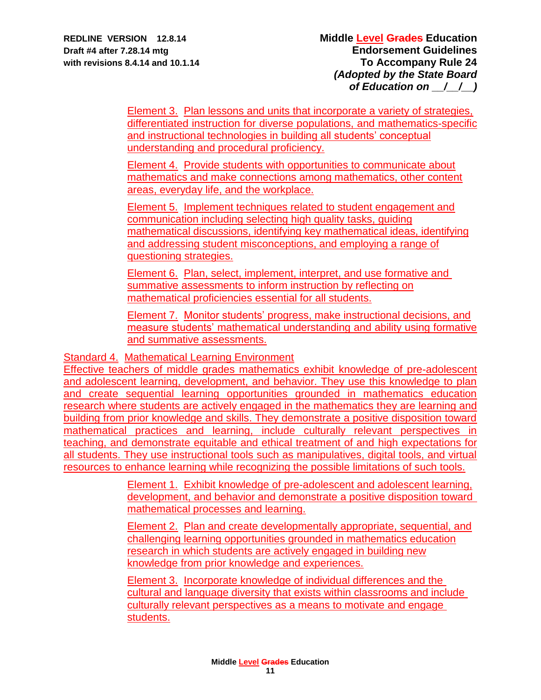Element 3. Plan lessons and units that incorporate a variety of strategies, differentiated instruction for diverse populations, and mathematics-specific and instructional technologies in building all students' conceptual understanding and procedural proficiency.

Element 4. Provide students with opportunities to communicate about mathematics and make connections among mathematics, other content areas, everyday life, and the workplace.

Element 5. Implement techniques related to student engagement and communication including selecting high quality tasks, guiding mathematical discussions, identifying key mathematical ideas, identifying and addressing student misconceptions, and employing a range of questioning strategies.

Element 6. Plan, select, implement, interpret, and use formative and summative assessments to inform instruction by reflecting on mathematical proficiencies essential for all students.

Element 7. Monitor students' progress, make instructional decisions, and measure students' mathematical understanding and ability using formative and summative assessments.

Standard 4. Mathematical Learning Environment

Effective teachers of middle grades mathematics exhibit knowledge of pre-adolescent and adolescent learning, development, and behavior. They use this knowledge to plan and create sequential learning opportunities grounded in mathematics education research where students are actively engaged in the mathematics they are learning and building from prior knowledge and skills. They demonstrate a positive disposition toward mathematical practices and learning, include culturally relevant perspectives in teaching, and demonstrate equitable and ethical treatment of and high expectations for all students. They use instructional tools such as manipulatives, digital tools, and virtual resources to enhance learning while recognizing the possible limitations of such tools.

> Element 1. Exhibit knowledge of pre-adolescent and adolescent learning, development, and behavior and demonstrate a positive disposition toward mathematical processes and learning.

Element 2. Plan and create developmentally appropriate, sequential, and challenging learning opportunities grounded in mathematics education research in which students are actively engaged in building new knowledge from prior knowledge and experiences.

Element 3. Incorporate knowledge of individual differences and the cultural and language diversity that exists within classrooms and include culturally relevant perspectives as a means to motivate and engage students.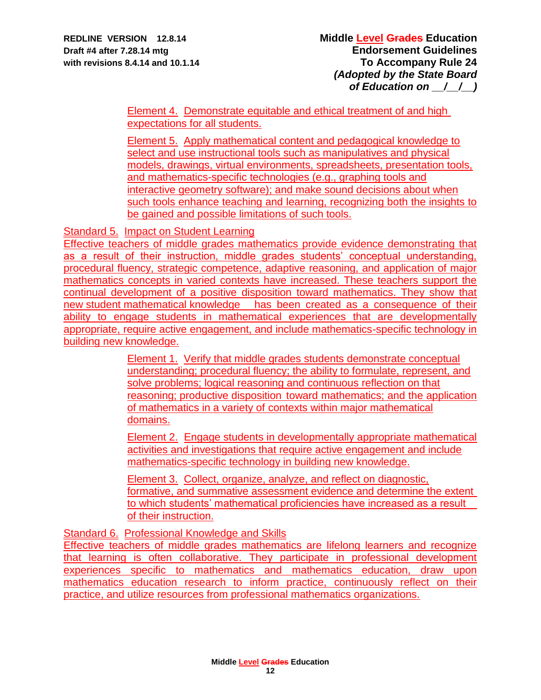Element 4.Demonstrate equitable and ethical treatment of and high expectations for all students.

Element 5. Apply mathematical content and pedagogical knowledge to select and use instructional tools such as manipulatives and physical models, drawings, virtual environments, spreadsheets, presentation tools, and mathematics-specific technologies (e.g., graphing tools and interactive geometry software); and make sound decisions about when such tools enhance teaching and learning, recognizing both the insights to be gained and possible limitations of such tools.

Standard 5. Impact on Student Learning

Effective teachers of middle grades mathematics provide evidence demonstrating that as a result of their instruction, middle grades students' conceptual understanding, procedural fluency, strategic competence, adaptive reasoning, and application of major mathematics concepts in varied contexts have increased. These teachers support the continual development of a positive disposition toward mathematics. They show that new student mathematical knowledge has been created as a consequence of their ability to engage students in mathematical experiences that are developmentally appropriate, require active engagement, and include mathematics-specific technology in building new knowledge.

> Element 1. Verify that middle grades students demonstrate conceptual understanding; procedural fluency; the ability to formulate, represent, and solve problems; logical reasoning and continuous reflection on that reasoning; productive disposition toward mathematics; and the application of mathematics in a variety of contexts within major mathematical domains.

> Element 2. Engage students in developmentally appropriate mathematical activities and investigations that require active engagement and include mathematics-specific technology in building new knowledge.

> Element 3. Collect, organize, analyze, and reflect on diagnostic, formative, and summative assessment evidence and determine the extent to which students' mathematical proficiencies have increased as a result of their instruction.

Standard 6. Professional Knowledge and Skills

Effective teachers of middle grades mathematics are lifelong learners and recognize that learning is often collaborative. They participate in professional development experiences specific to mathematics and mathematics education, draw upon mathematics education research to inform practice, continuously reflect on their practice, and utilize resources from professional mathematics organizations.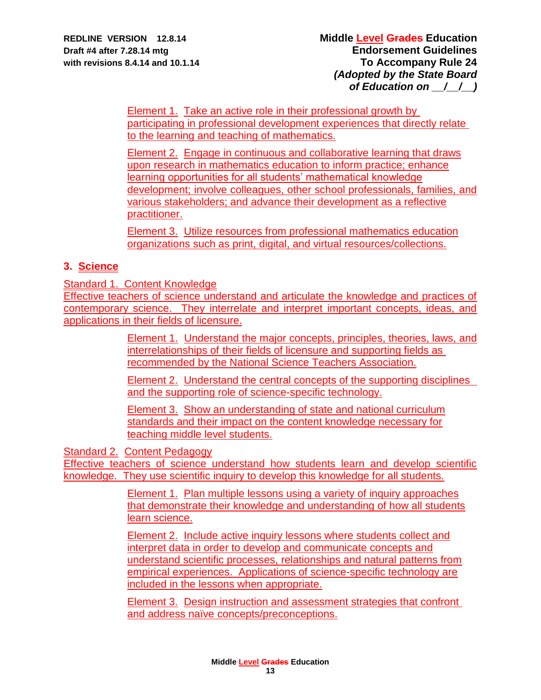Element 1. Take an active role in their professional growth by participating in professional development experiences that directly relate to the learning and teaching of mathematics.

Element 2. Engage in continuous and collaborative learning that draws upon research in mathematics education to inform practice; enhance learning opportunities for all students' mathematical knowledge development; involve colleagues, other school professionals, families, and various stakeholders; and advance their development as a reflective practitioner.

Element 3. Utilize resources from professional mathematics education organizations such as print, digital, and virtual resources/collections.

# **3. Science**

Standard 1. Content Knowledge

Effective teachers of science understand and articulate the knowledge and practices of contemporary science. They interrelate and interpret important concepts, ideas, and applications in their fields of licensure.

> Element 1. Understand the major concepts, principles, theories, laws, and interrelationships of their fields of licensure and supporting fields as recommended by the National Science Teachers Association.

> Element 2. Understand the central concepts of the supporting disciplines and the supporting role of science-specific technology.

Element 3. Show an understanding of state and national curriculum standards and their impact on the content knowledge necessary for teaching middle level students.

Standard 2. Content Pedagogy

Effective teachers of science understand how students learn and develop scientific knowledge. They use scientific inquiry to develop this knowledge for all students.

> Element 1. Plan multiple lessons using a variety of inquiry approaches that demonstrate their knowledge and understanding of how all students learn science.

> Element 2. Include active inquiry lessons where students collect and interpret data in order to develop and communicate concepts and understand scientific processes, relationships and natural patterns from empirical experiences. Applications of science-specific technology are included in the lessons when appropriate.

> Element 3. Design instruction and assessment strategies that confront and address naïve concepts/preconceptions.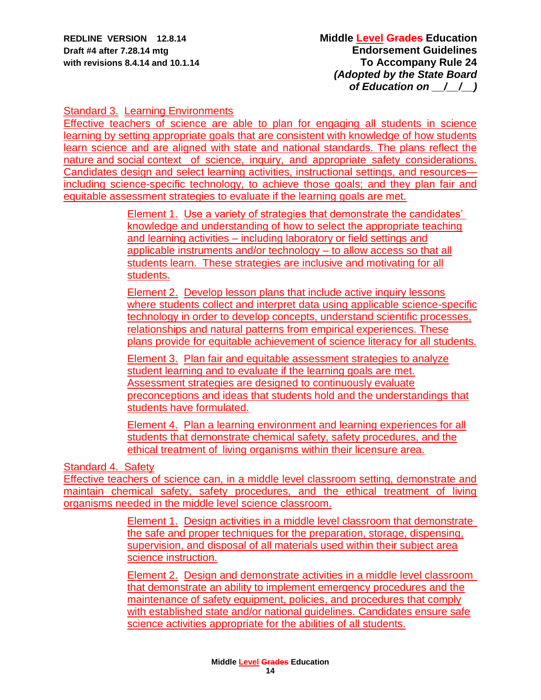## Standard 3. Learning Environments

Effective teachers of science are able to plan for engaging all students in science learning by setting appropriate goals that are consistent with knowledge of how students learn science and are aligned with state and national standards. The plans reflect the nature and social context of science, inquiry, and appropriate safety considerations. Candidates design and select learning activities, instructional settings, and resources including science-specific technology, to achieve those goals; and they plan fair and equitable assessment strategies to evaluate if the learning goals are met.

> Element 1. Use a variety of strategies that demonstrate the candidates' knowledge and understanding of how to select the appropriate teaching and learning activities – including laboratory or field settings and applicable instruments and/or technology – to allow access so that all students learn. These strategies are inclusive and motivating for all students.

Element 2. Develop lesson plans that include active inquiry lessons where students collect and interpret data using applicable science-specific technology in order to develop concepts, understand scientific processes, relationships and natural patterns from empirical experiences. These plans provide for equitable achievement of science literacy for all students.

Element 3. Plan fair and equitable assessment strategies to analyze student learning and to evaluate if the learning goals are met. Assessment strategies are designed to continuously evaluate preconceptions and ideas that students hold and the understandings that students have formulated.

Element 4. Plan a learning environment and learning experiences for all students that demonstrate chemical safety, safety procedures, and the ethical treatment of living organisms within their licensure area.

### Standard 4. Safety

Effective teachers of science can, in a middle level classroom setting, demonstrate and maintain chemical safety, safety procedures, and the ethical treatment of living organisms needed in the middle level science classroom.

> Element 1. Design activities in a middle level classroom that demonstrate the safe and proper techniques for the preparation, storage, dispensing, supervision, and disposal of all materials used within their subject area science instruction.

> Element 2. Design and demonstrate activities in a middle level classroom that demonstrate an ability to implement emergency procedures and the maintenance of safety equipment, policies, and procedures that comply with established state and/or national guidelines. Candidates ensure safe science activities appropriate for the abilities of all students.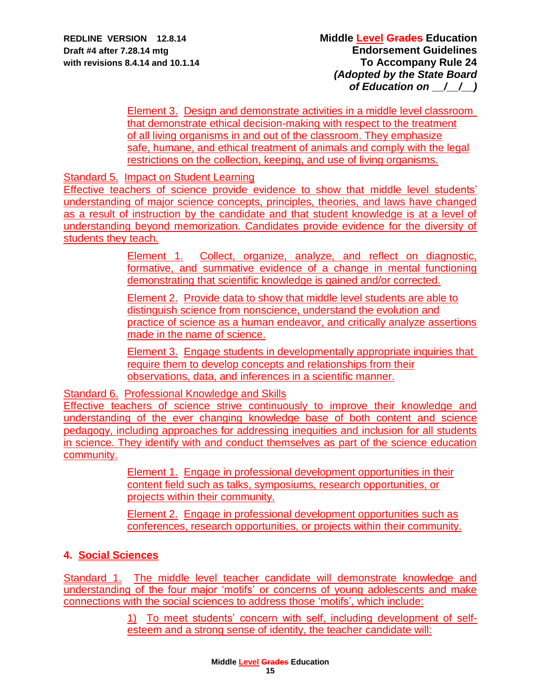Element 3. Design and demonstrate activities in a middle level classroom that demonstrate ethical decision-making with respect to the treatment of all living organisms in and out of the classroom. They emphasize safe, humane, and ethical treatment of animals and comply with the legal restrictions on the collection, keeping, and use of living organisms.

Standard 5. Impact on Student Learning

Effective teachers of science provide evidence to show that middle level students' understanding of major science concepts, principles, theories, and laws have changed as a result of instruction by the candidate and that student knowledge is at a level of understanding beyond memorization. Candidates provide evidence for the diversity of students they teach.

> Element 1. Collect, organize, analyze, and reflect on diagnostic, formative, and summative evidence of a change in mental functioning demonstrating that scientific knowledge is gained and/or corrected.

> Element 2. Provide data to show that middle level students are able to distinguish science from nonscience, understand the evolution and practice of science as a human endeavor, and critically analyze assertions made in the name of science.

> Element 3. Engage students in developmentally appropriate inquiries that require them to develop concepts and relationships from their observations, data, and inferences in a scientific manner.

Standard 6. Professional Knowledge and Skills

Effective teachers of science strive continuously to improve their knowledge and understanding of the ever changing knowledge base of both content and science pedagogy, including approaches for addressing inequities and inclusion for all students in science. They identify with and conduct themselves as part of the science education community.

> Element 1. Engage in professional development opportunities in their content field such as talks, symposiums, research opportunities, or projects within their community.

Element 2. Engage in professional development opportunities such as conferences, research opportunities, or projects within their community.

# **4. Social Sciences**

Standard 1. The middle level teacher candidate will demonstrate knowledge and understanding of the four major 'motifs' or concerns of young adolescents and make connections with the social sciences to address those 'motifs', which include:

> 1) To meet students' concern with self, including development of selfesteem and a strong sense of identity, the teacher candidate will: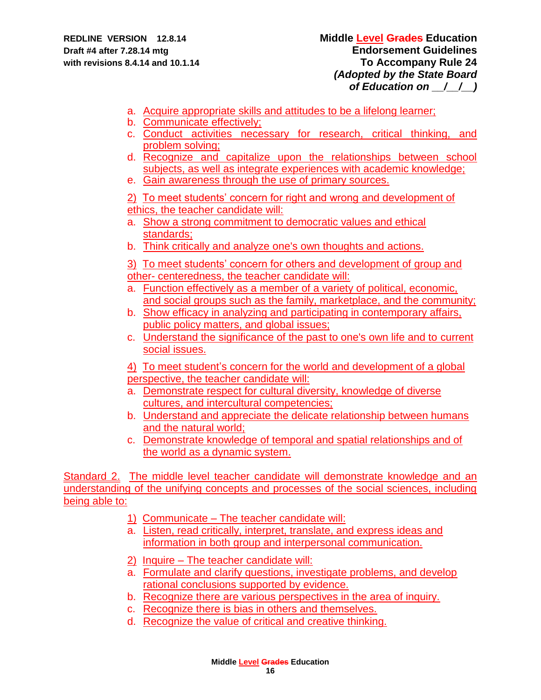- a. Acquire appropriate skills and attitudes to be a lifelong learner;
- b. Communicate effectively;
- c. Conduct activities necessary for research, critical thinking, and problem solving;
- d. Recognize and capitalize upon the relationships between school subjects, as well as integrate experiences with academic knowledge;
- e. Gain awareness through the use of primary sources.

2) To meet students' concern for right and wrong and development of ethics, the teacher candidate will:

- a. Show a strong commitment to democratic values and ethical standards;
- b. Think critically and analyze one's own thoughts and actions.

3) To meet students' concern for others and development of group and other- centeredness, the teacher candidate will:

- a. Function effectively as a member of a variety of political, economic, and social groups such as the family, marketplace, and the community;
- b. Show efficacy in analyzing and participating in contemporary affairs, public policy matters, and global issues;
- c. Understand the significance of the past to one's own life and to current social issues.

4) To meet student's concern for the world and development of a global perspective, the teacher candidate will:

- a. Demonstrate respect for cultural diversity, knowledge of diverse cultures, and intercultural competencies;
- b. Understand and appreciate the delicate relationship between humans and the natural world;
- c. Demonstrate knowledge of temporal and spatial relationships and of the world as a dynamic system.

Standard 2. The middle level teacher candidate will demonstrate knowledge and an understanding of the unifying concepts and processes of the social sciences, including being able to:

- 1) Communicate The teacher candidate will:
- a. Listen, read critically, interpret, translate, and express ideas and information in both group and interpersonal communication.
- 2) Inquire The teacher candidate will:
- a. Formulate and clarify questions, investigate problems, and develop rational conclusions supported by evidence.
- b. Recognize there are various perspectives in the area of inquiry.
- c. Recognize there is bias in others and themselves.
- d. Recognize the value of critical and creative thinking.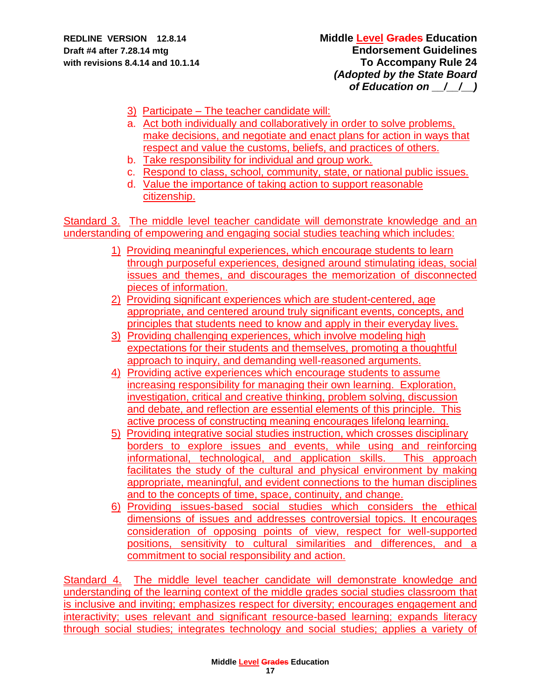- 3) Participate The teacher candidate will:
- a. Act both individually and collaboratively in order to solve problems, make decisions, and negotiate and enact plans for action in ways that respect and value the customs, beliefs, and practices of others.
- b. Take responsibility for individual and group work.
- c. Respond to class, school, community, state, or national public issues.
- d. Value the importance of taking action to support reasonable citizenship.

Standard 3. The middle level teacher candidate will demonstrate knowledge and an understanding of empowering and engaging social studies teaching which includes:

- 1) Providing meaningful experiences, which encourage students to learn through purposeful experiences, designed around stimulating ideas, social issues and themes, and discourages the memorization of disconnected pieces of information.
- 2) Providing significant experiences which are student-centered, age appropriate, and centered around truly significant events, concepts, and principles that students need to know and apply in their everyday lives.
- 3) Providing challenging experiences, which involve modeling high expectations for their students and themselves, promoting a thoughtful approach to inquiry, and demanding well-reasoned arguments.
- 4) Providing active experiences which encourage students to assume increasing responsibility for managing their own learning. Exploration, investigation, critical and creative thinking, problem solving, discussion and debate, and reflection are essential elements of this principle. This active process of constructing meaning encourages lifelong learning.
- 5) Providing integrative social studies instruction, which crosses disciplinary borders to explore issues and events, while using and reinforcing informational, technological, and application skills. This approach facilitates the study of the cultural and physical environment by making appropriate, meaningful, and evident connections to the human disciplines and to the concepts of time, space, continuity, and change.
- 6) Providing issues-based social studies which considers the ethical dimensions of issues and addresses controversial topics. It encourages consideration of opposing points of view, respect for well-supported positions, sensitivity to cultural similarities and differences, and a commitment to social responsibility and action.

Standard 4. The middle level teacher candidate will demonstrate knowledge and understanding of the learning context of the middle grades social studies classroom that is inclusive and inviting; emphasizes respect for diversity; encourages engagement and interactivity; uses relevant and significant resource-based learning; expands literacy through social studies; integrates technology and social studies; applies a variety of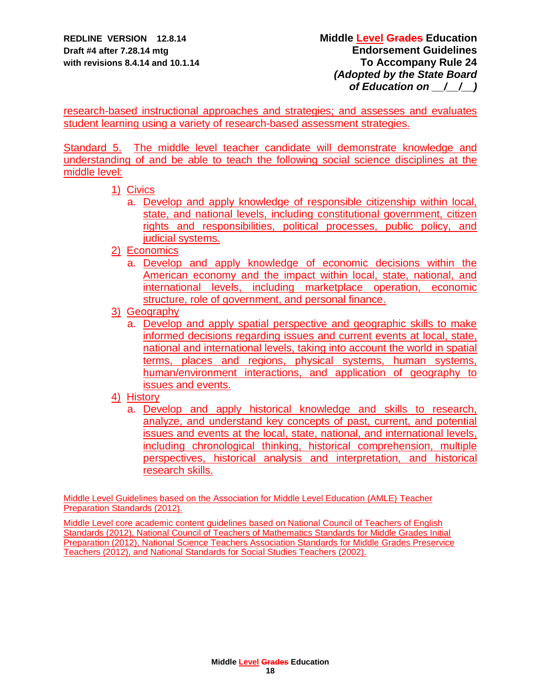research-based instructional approaches and strategies; and assesses and evaluates student learning using a variety of research-based assessment strategies.

Standard 5. The middle level teacher candidate will demonstrate knowledge and understanding of and be able to teach the following social science disciplines at the middle level:

- 1) Civics
	- a. Develop and apply knowledge of responsible citizenship within local, state, and national levels, including constitutional government, citizen rights and responsibilities, political processes, public policy, and judicial systems.
- 2) Economics
	- a. Develop and apply knowledge of economic decisions within the American economy and the impact within local, state, national, and international levels, including marketplace operation, economic structure, role of government, and personal finance.
- 3) Geography
	- a. Develop and apply spatial perspective and geographic skills to make informed decisions regarding issues and current events at local, state, national and international levels, taking into account the world in spatial terms, places and regions, physical systems, human systems, human/environment interactions, and application of geography to issues and events.

## 4) History

a. Develop and apply historical knowledge and skills to research, analyze, and understand key concepts of past, current, and potential issues and events at the local, state, national, and international levels, including chronological thinking, historical comprehension, multiple perspectives, historical analysis and interpretation, and historical research skills.

Middle Level Guidelines based on the Association for Middle Level Education (AMLE) Teacher Preparation Standards (2012).

Middle Level core academic content guidelines based on National Council of Teachers of English Standards (2012), National Council of Teachers of Mathematics Standards for Middle Grades Initial Preparation (2012), National Science Teachers Association Standards for Middle Grades Preservice Teachers (2012), and National Standards for Social Studies Teachers (2002).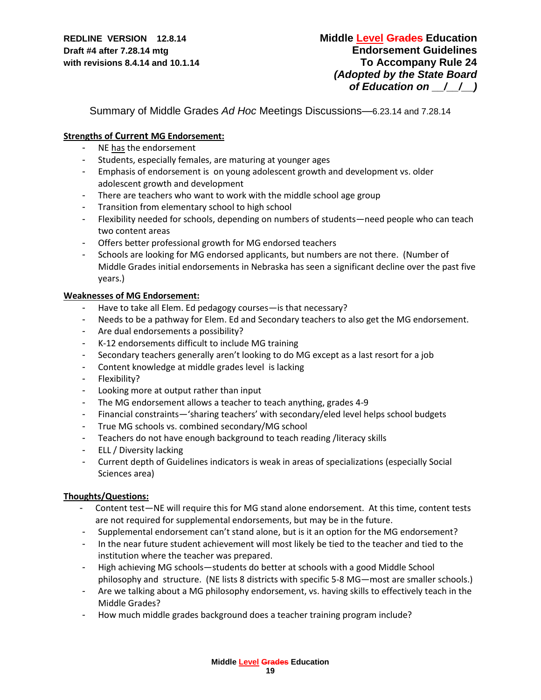Summary of Middle Grades *Ad Hoc* Meetings Discussions—6.23.14 and 7.28.14

#### **Strengths of Current MG Endorsement:**

- NE has the endorsement
- Students, especially females, are maturing at younger ages
- Emphasis of endorsement is on young adolescent growth and development vs. older adolescent growth and development
- There are teachers who want to work with the middle school age group
- Transition from elementary school to high school
- Flexibility needed for schools, depending on numbers of students—need people who can teach two content areas
- Offers better professional growth for MG endorsed teachers
- Schools are looking for MG endorsed applicants, but numbers are not there. (Number of Middle Grades initial endorsements in Nebraska has seen a significant decline over the past five years.)

#### **Weaknesses of MG Endorsement:**

- Have to take all Elem. Ed pedagogy courses—is that necessary?
- Needs to be a pathway for Elem. Ed and Secondary teachers to also get the MG endorsement.
- Are dual endorsements a possibility?
- K-12 endorsements difficult to include MG training
- Secondary teachers generally aren't looking to do MG except as a last resort for a job
- Content knowledge at middle grades level is lacking
- Flexibility?
- Looking more at output rather than input
- The MG endorsement allows a teacher to teach anything, grades 4-9
- Financial constraints—'sharing teachers' with secondary/eled level helps school budgets
- True MG schools vs. combined secondary/MG school
- Teachers do not have enough background to teach reading /literacy skills
- ELL / Diversity lacking
- Current depth of Guidelines indicators is weak in areas of specializations (especially Social Sciences area)

#### **Thoughts/Questions:**

- Content test—NE will require this for MG stand alone endorsement. At this time, content tests are not required for supplemental endorsements, but may be in the future.
- Supplemental endorsement can't stand alone, but is it an option for the MG endorsement?
- In the near future student achievement will most likely be tied to the teacher and tied to the institution where the teacher was prepared.
- High achieving MG schools—students do better at schools with a good Middle School philosophy and structure. (NE lists 8 districts with specific 5-8 MG—most are smaller schools.)
- Are we talking about a MG philosophy endorsement, vs. having skills to effectively teach in the Middle Grades?
- How much middle grades background does a teacher training program include?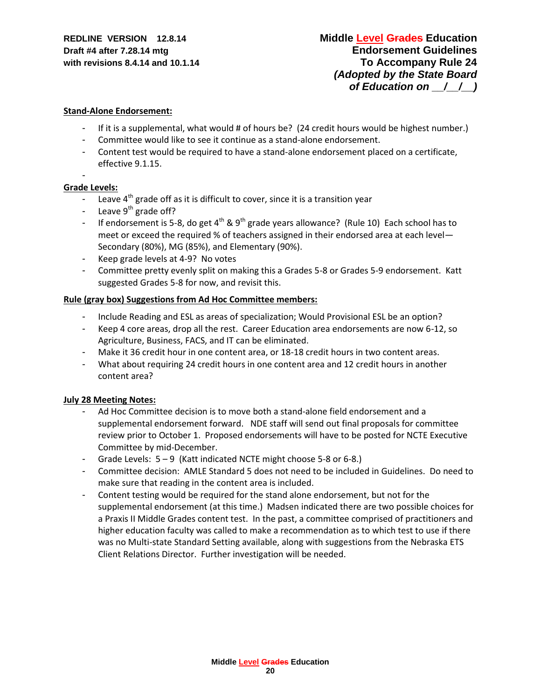#### **Stand-Alone Endorsement:**

- If it is a supplemental, what would # of hours be? (24 credit hours would be highest number.)
- Committee would like to see it continue as a stand-alone endorsement.
- Content test would be required to have a stand-alone endorsement placed on a certificate, effective 9.1.15.

#### **Grade Levels:**

-

- Leave  $4<sup>th</sup>$  grade off as it is difficult to cover, since it is a transition year
- Leave  $9^{th}$  grade off?
- If endorsement is 5-8, do get 4<sup>th</sup> & 9<sup>th</sup> grade years allowance? (Rule 10) Each school has to meet or exceed the required % of teachers assigned in their endorsed area at each level— Secondary (80%), MG (85%), and Elementary (90%).
- Keep grade levels at 4-9? No votes
- Committee pretty evenly split on making this a Grades 5-8 or Grades 5-9 endorsement. Katt suggested Grades 5-8 for now, and revisit this.

#### **Rule (gray box) Suggestions from Ad Hoc Committee members:**

- Include Reading and ESL as areas of specialization; Would Provisional ESL be an option?
- Keep 4 core areas, drop all the rest. Career Education area endorsements are now 6-12, so Agriculture, Business, FACS, and IT can be eliminated.
- Make it 36 credit hour in one content area, or 18-18 credit hours in two content areas.
- What about requiring 24 credit hours in one content area and 12 credit hours in another content area?

#### **July 28 Meeting Notes:**

- Ad Hoc Committee decision is to move both a stand-alone field endorsement and a supplemental endorsement forward. NDE staff will send out final proposals for committee review prior to October 1. Proposed endorsements will have to be posted for NCTE Executive Committee by mid-December.
- Grade Levels:  $5-9$  (Katt indicated NCTE might choose 5-8 or 6-8.)
- Committee decision: AMLE Standard 5 does not need to be included in Guidelines. Do need to make sure that reading in the content area is included.
- Content testing would be required for the stand alone endorsement, but not for the supplemental endorsement (at this time.) Madsen indicated there are two possible choices for a Praxis II Middle Grades content test. In the past, a committee comprised of practitioners and higher education faculty was called to make a recommendation as to which test to use if there was no Multi-state Standard Setting available, along with suggestions from the Nebraska ETS Client Relations Director. Further investigation will be needed.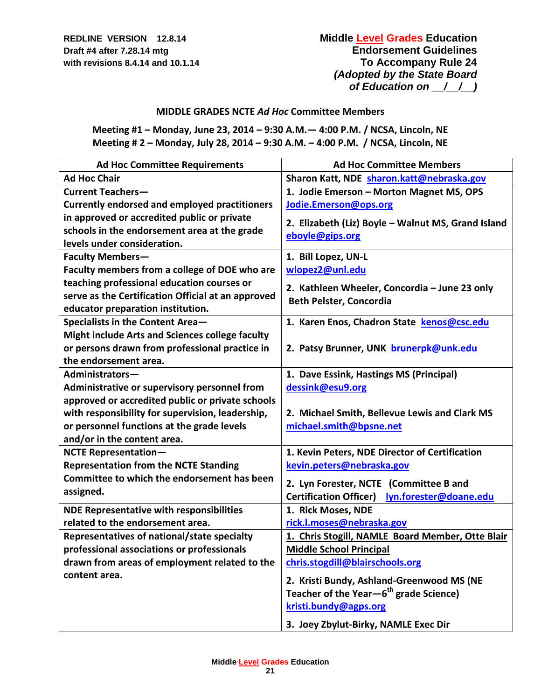## **REDLINE VERSION 12.8.14 Middle Level Grades Education Draft #4 after 7.28.14 mtg Draft #4 after 7.28.14 mtg** *Endorsement Guidelines* **with revisions 8.4.14 and 10.1.14 To Accompany Rule 24** *(Adopted by the State Board of Education on \_\_/\_\_/\_\_)*

### **MIDDLE GRADES NCTE** *Ad Hoc* **Committee Members**

**Meeting #1 – Monday, June 23, 2014 – 9:30 A.M.— 4:00 P.M. / NCSA, Lincoln, NE Meeting # 2 – Monday, July 28, 2014 – 9:30 A.M. – 4:00 P.M. / NCSA, Lincoln, NE** 

| <b>Ad Hoc Committee Requirements</b>                   | <b>Ad Hoc Committee Members</b>                                                                 |
|--------------------------------------------------------|-------------------------------------------------------------------------------------------------|
| <b>Ad Hoc Chair</b>                                    | Sharon Katt, NDE sharon.katt@nebraska.gov                                                       |
| <b>Current Teachers-</b>                               | 1. Jodie Emerson - Morton Magnet MS, OPS                                                        |
| <b>Currently endorsed and employed practitioners</b>   | Jodie.Emerson@ops.org                                                                           |
| in approved or accredited public or private            | 2. Elizabeth (Liz) Boyle - Walnut MS, Grand Island                                              |
| schools in the endorsement area at the grade           | eboyle@gips.org                                                                                 |
| levels under consideration.                            |                                                                                                 |
| <b>Faculty Members-</b>                                | 1. Bill Lopez, UN-L                                                                             |
| Faculty members from a college of DOE who are          | wlopez2@unl.edu                                                                                 |
| teaching professional education courses or             | 2. Kathleen Wheeler, Concordia - June 23 only                                                   |
| serve as the Certification Official at an approved     | Beth Pelster, Concordia                                                                         |
| educator preparation institution.                      |                                                                                                 |
| Specialists in the Content Area-                       | 1. Karen Enos, Chadron State kenos@csc.edu                                                      |
| <b>Might include Arts and Sciences college faculty</b> |                                                                                                 |
| or persons drawn from professional practice in         | 2. Patsy Brunner, UNK brunerpk@unk.edu                                                          |
| the endorsement area.                                  |                                                                                                 |
| Administrators-                                        | 1. Dave Essink, Hastings MS (Principal)                                                         |
| Administrative or supervisory personnel from           | dessink@esu9.org                                                                                |
| approved or accredited public or private schools       |                                                                                                 |
| with responsibility for supervision, leadership,       | 2. Michael Smith, Bellevue Lewis and Clark MS                                                   |
| or personnel functions at the grade levels             | michael.smith@bpsne.net                                                                         |
| and/or in the content area.                            |                                                                                                 |
| <b>NCTE Representation-</b>                            | 1. Kevin Peters, NDE Director of Certification                                                  |
| <b>Representation from the NCTE Standing</b>           | kevin.peters@nebraska.gov                                                                       |
| Committee to which the endorsement has been            | 2. Lyn Forester, NCTE (Committee B and                                                          |
| assigned.                                              | <b>Certification Officer)</b><br>lyn.forester@doane.edu                                         |
| <b>NDE Representative with responsibilities</b>        | 1. Rick Moses, NDE                                                                              |
| related to the endorsement area.                       | rick.l.moses@nebraska.gov                                                                       |
| Representatives of national/state specialty            | 1. Chris Stogill, NAMLE Board Member, Otte Blair                                                |
| professional associations or professionals             | <b>Middle School Principal</b>                                                                  |
| drawn from areas of employment related to the          | chris.stogdill@blairschools.org                                                                 |
| content area.                                          |                                                                                                 |
|                                                        | 2. Kristi Bundy, Ashland-Greenwood MS (NE<br>Teacher of the Year-6 <sup>th</sup> grade Science) |
|                                                        | kristi.bundy@agps.org                                                                           |
|                                                        |                                                                                                 |
|                                                        | 3. Joey Zbylut-Birky, NAMLE Exec Dir                                                            |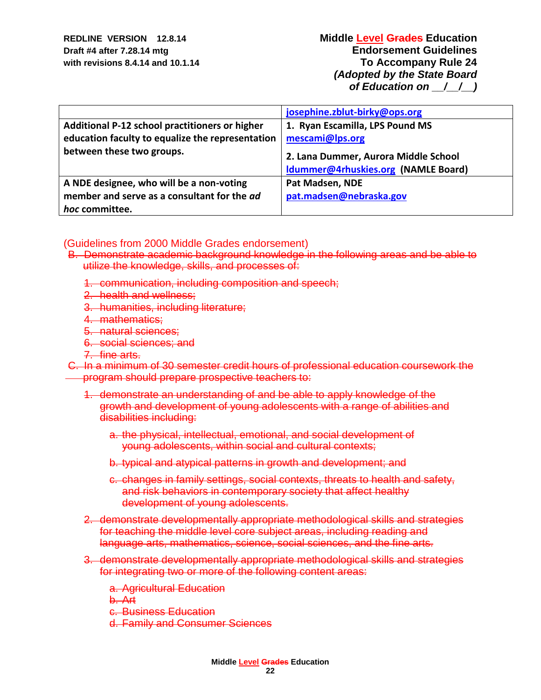|                                                                                                    | josephine.zblut-birky@ops.org                      |
|----------------------------------------------------------------------------------------------------|----------------------------------------------------|
| Additional P-12 school practitioners or higher<br>education faculty to equalize the representation | 1. Ryan Escamilla, LPS Pound MS<br>mescami@lps.org |
| between these two groups.                                                                          | 2. Lana Dummer, Aurora Middle School               |
|                                                                                                    | Idummer@4rhuskies.org (NAMLE Board)                |
| A NDE designee, who will be a non-voting                                                           | Pat Madsen, NDE                                    |
| member and serve as a consultant for the ad                                                        | pat.madsen@nebraska.gov                            |
| hoc committee.                                                                                     |                                                    |

### (Guidelines from 2000 Middle Grades endorsement)

- B. Demonstrate academic background knowledge in the following areas and be able to utilize the knowledge, skills, and processes of:
	- 1. communication, including composition and speech;
	- 2. health and wellness;
	- 3. humanities, including literature;
	- 4. mathematics;
	- 5. natural sciences;
	- 6. social sciences; and
	- 7. fine arts.

C. In a minimum of 30 semester credit hours of professional education coursework the program should prepare prospective teachers to:

- 1. demonstrate an understanding of and be able to apply knowledge of the growth and development of young adolescents with a range of abilities and disabilities including:
	- a. the physical, intellectual, emotional, and social development of young adolescents, within social and cultural contexts;
	- b. typical and atypical patterns in growth and development; and
	- c. changes in family settings, social contexts, threats to health and safety, and risk behaviors in contemporary society that affect healthy development of young adolescents.
- 2. demonstrate developmentally appropriate methodological skills and strategies for teaching the middle level core subject areas, including reading and language arts, mathematics, science, social sciences, and the fine arts.
- 3. demonstrate developmentally appropriate methodological skills and strategies for integrating two or more of the following content areas:
	- a. Agricultural Education

b. Art

c. Business Education

d. Family and Consumer Sciences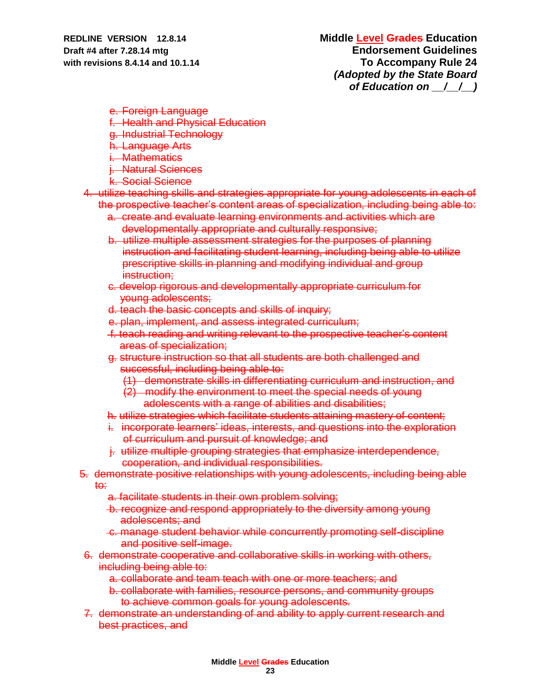e. Foreign Language

- f. Health and Physical Education
- g. Industrial Technology
- h. Language Arts
- i. Mathematics
- j. Natural Sciences
- k. Social Science

4. utilize teaching skills and strategies appropriate for young adolescents in each of the prospective teacher's content areas of specialization, including being able to:

- a. create and evaluate learning environments and activities which are developmentally appropriate and culturally responsive;
- b. utilize multiple assessment strategies for the purposes of planning instruction and facilitating student learning, including being able to utilize prescriptive skills in planning and modifying individual and group instruction:
- c. develop rigorous and developmentally appropriate curriculum for young adolescents;
- d. teach the basic concepts and skills of inquiry;
- e. plan, implement, and assess integrated curriculum;
- f. teach reading and writing relevant to the prospective teacher's content areas of specialization;
- g. structure instruction so that all students are both challenged and successful, including being able to:
	- (1) demonstrate skills in differentiating curriculum and instruction, and
	- (2) modify the environment to meet the special needs of young adolescents with a range of abilities and disabilities;
- h. utilize strategies which facilitate students attaining mastery of content;
- i. incorporate learners' ideas, interests, and questions into the exploration of curriculum and pursuit of knowledge; and
- j. utilize multiple grouping strategies that emphasize interdependence, cooperation, and individual responsibilities.

### 5. demonstrate positive relationships with young adolescents, including being able to:

- a. facilitate students in their own problem solving;
- b. recognize and respond appropriately to the diversity among young adolescents; and
- c. manage student behavior while concurrently promoting self-discipline and positive self-image.
- 6. demonstrate cooperative and collaborative skills in working with others, including being able to:
	- a. collaborate and team teach with one or more teachers; and
	- b. collaborate with families, resource persons, and community groups to achieve common goals for young adolescents.
- 7. demonstrate an understanding of and ability to apply current research and best practices, and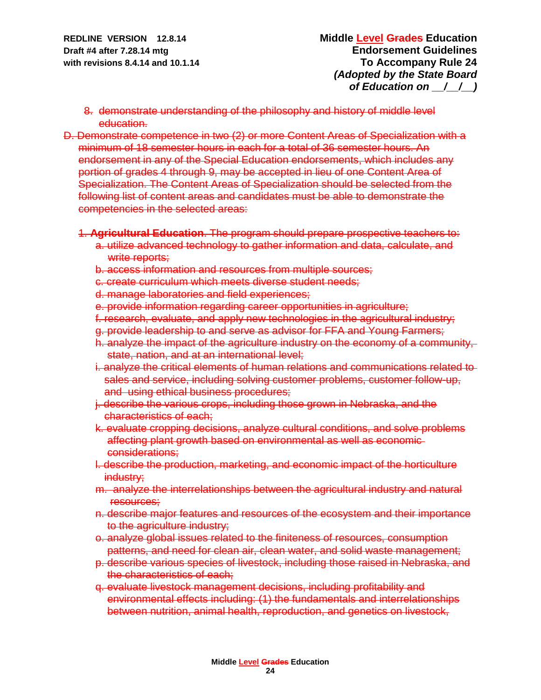- 8. demonstrate understanding of the philosophy and history of middle level education.
- D. Demonstrate competence in two (2) or more Content Areas of Specialization with a minimum of 18 semester hours in each for a total of 36 semester hours. An endorsement in any of the Special Education endorsements, which includes any portion of grades 4 through 9, may be accepted in lieu of one Content Area of Specialization. The Content Areas of Specialization should be selected from the following list of content areas and candidates must be able to demonstrate the competencies in the selected areas:

### 1. **Agricultural Education**. The program should prepare prospective teachers to:

- a. utilize advanced technology to gather information and data, calculate, and write reports;
- b. access information and resources from multiple sources;
- c. create curriculum which meets diverse student needs;
- d. manage laboratories and field experiences;
- e. provide information regarding career opportunities in agriculture;
- f. research, evaluate, and apply new technologies in the agricultural industry;
- g. provide leadership to and serve as advisor for FFA and Young Farmers;
- h. analyze the impact of the agriculture industry on the economy of a community, state, nation, and at an international level;
- i. analyze the critical elements of human relations and communications related to sales and service, including solving customer problems, customer follow-up, and using ethical business procedures;
- j. describe the various crops, including those grown in Nebraska, and the characteristics of each;
- k. evaluate cropping decisions, analyze cultural conditions, and solve problems affecting plant growth based on environmental as well as economic considerations;
- l. describe the production, marketing, and economic impact of the horticulture industry;
- m. analyze the interrelationships between the agricultural industry and natural resources;
- n. describe major features and resources of the ecosystem and their importance to the agriculture industry;
- o. analyze global issues related to the finiteness of resources, consumption patterns, and need for clean air, clean water, and solid waste management;
- p. describe various species of livestock, including those raised in Nebraska, and the characteristics of each;
- q. evaluate livestock management decisions, including profitability and environmental effects including: (1) the fundamentals and interrelationships between nutrition, animal health, reproduction, and genetics on livestock,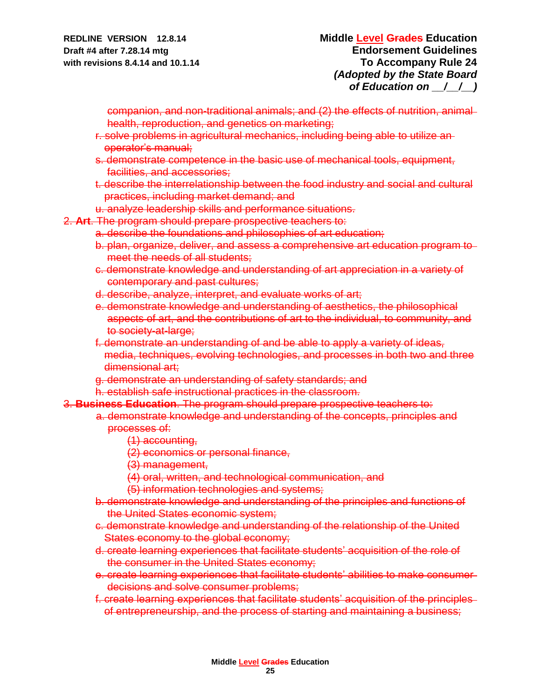companion, and non-traditional animals; and (2) the effects of nutrition, animal health, reproduction, and genetics on marketing;

- r. solve problems in agricultural mechanics, including being able to utilize an operator's manual;
- s. demonstrate competence in the basic use of mechanical tools, equipment, facilities, and accessories;
- t. describe the interrelationship between the food industry and social and cultural practices, including market demand; and
- u. analyze leadership skills and performance situations.
- 2. **Art**. The program should prepare prospective teachers to:
	- a. describe the foundations and philosophies of art education;
	- b. plan, organize, deliver, and assess a comprehensive art education program to meet the needs of all students;
	- c. demonstrate knowledge and understanding of art appreciation in a variety of contemporary and past cultures;
	- d. describe, analyze, interpret, and evaluate works of art;
	- e. demonstrate knowledge and understanding of aesthetics, the philosophical aspects of art, and the contributions of art to the individual, to community, and to society-at-large;
	- f. demonstrate an understanding of and be able to apply a variety of ideas, media, techniques, evolving technologies, and processes in both two and three dimensional art;
	- g. demonstrate an understanding of safety standards; and
	- h. establish safe instructional practices in the classroom.
- 3. **Business Education**. The program should prepare prospective teachers to:
	- a. demonstrate knowledge and understanding of the concepts, principles and processes of:
		- (1) accounting,
		- (2) economics or personal finance,
		- (3) management,
		- (4) oral, written, and technological communication, and
		- (5) information technologies and systems;
		- b. demonstrate knowledge and understanding of the principles and functions of the United States economic system;
		- c. demonstrate knowledge and understanding of the relationship of the United States economy to the global economy;
		- d. create learning experiences that facilitate students' acquisition of the role of the consumer in the United States economy;
		- e. create learning experiences that facilitate students' abilities to make consumer decisions and solve consumer problems;
		- f. create learning experiences that facilitate students' acquisition of the principles of entrepreneurship, and the process of starting and maintaining a business;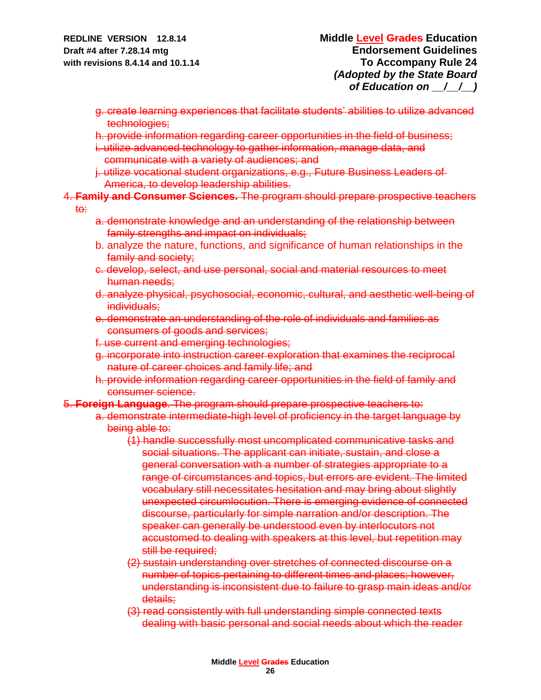- g. create learning experiences that facilitate students' abilities to utilize advanced technologies;
- h. provide information regarding career opportunities in the field of business;
- i. utilize advanced technology to gather information, manage data, and communicate with a variety of audiences; and
- j. utilize vocational student organizations, e.g., Future Business Leaders of America, to develop leadership abilities.

# 4. **Family and Consumer Sciences.** The program should prepare prospective teachers

to:

- a. demonstrate knowledge and an understanding of the relationship between family strengths and impact on individuals;
- b. analyze the nature, functions, and significance of human relationships in the family and society;
- c. develop, select, and use personal, social and material resources to meet human needs;
- d. analyze physical, psychosocial, economic, cultural, and aesthetic well-being of individuals;
- e. demonstrate an understanding of the role of individuals and families as consumers of goods and services;
- f. use current and emerging technologies;
- g. incorporate into instruction career exploration that examines the reciprocal nature of career choices and family life; and
- h. provide information regarding career opportunities in the field of family and consumer science.
- 5. **Foreign Language**. The program should prepare prospective teachers to:
	- a. demonstrate intermediate-high level of proficiency in the target language by being able to:
		- (1) handle successfully most uncomplicated communicative tasks and social situations. The applicant can initiate, sustain, and close a general conversation with a number of strategies appropriate to a range of circumstances and topics, but errors are evident. The limited vocabulary still necessitates hesitation and may bring about slightly unexpected circumlocution. There is emerging evidence of connected discourse, particularly for simple narration and/or description. The speaker can generally be understood even by interlocutors not accustomed to dealing with speakers at this level, but repetition may still be required;
		- (2) sustain understanding over stretches of connected discourse on a number of topics pertaining to different times and places; however, understanding is inconsistent due to failure to grasp main ideas and/or details:
		- (3) read consistently with full understanding simple connected texts dealing with basic personal and social needs about which the reader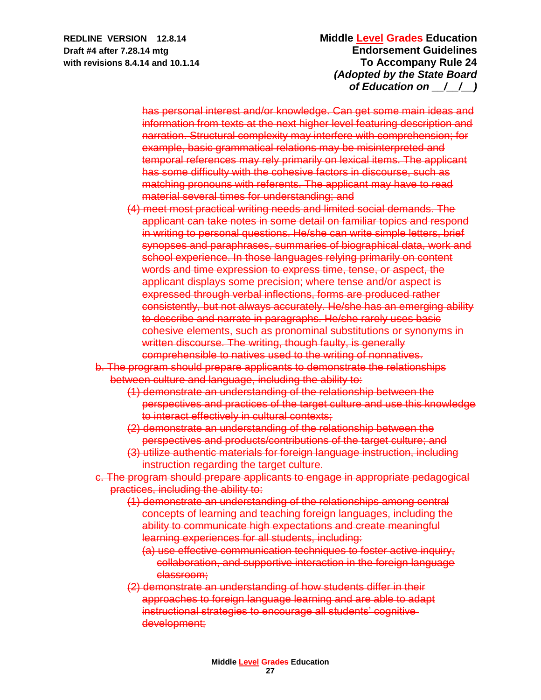has personal interest and/or knowledge. Can get some main ideas and information from texts at the next higher level featuring description and narration. Structural complexity may interfere with comprehension; for example, basic grammatical relations may be misinterpreted and temporal references may rely primarily on lexical items. The applicant has some difficulty with the cohesive factors in discourse, such as matching pronouns with referents. The applicant may have to read material several times for understanding; and

- (4) meet most practical writing needs and limited social demands. The applicant can take notes in some detail on familiar topics and respond in writing to personal questions. He/she can write simple letters, brief synopses and paraphrases, summaries of biographical data, work and school experience. In those languages relying primarily on content words and time expression to express time, tense, or aspect, the applicant displays some precision; where tense and/or aspect is expressed through verbal inflections, forms are produced rather consistently, but not always accurately. He/she has an emerging ability to describe and narrate in paragraphs. He/she rarely uses basic cohesive elements, such as pronominal substitutions or synonyms in written discourse. The writing, though faulty, is generally comprehensible to natives used to the writing of nonnatives.
- b. The program should prepare applicants to demonstrate the relationships between culture and language, including the ability to:
	- (1) demonstrate an understanding of the relationship between the perspectives and practices of the target culture and use this knowledge to interact effectively in cultural contexts;
	- (2) demonstrate an understanding of the relationship between the perspectives and products/contributions of the target culture; and
	- (3) utilize authentic materials for foreign language instruction, including instruction regarding the target culture.
- c. The program should prepare applicants to engage in appropriate pedagogical practices, including the ability to:
	- (1) demonstrate an understanding of the relationships among central concepts of learning and teaching foreign languages, including the ability to communicate high expectations and create meaningful learning experiences for all students, including:
		- (a) use effective communication techniques to foster active inquiry, collaboration, and supportive interaction in the foreign language classroom;
	- (2) demonstrate an understanding of how students differ in their approaches to foreign language learning and are able to adapt instructional strategies to encourage all students' cognitive development;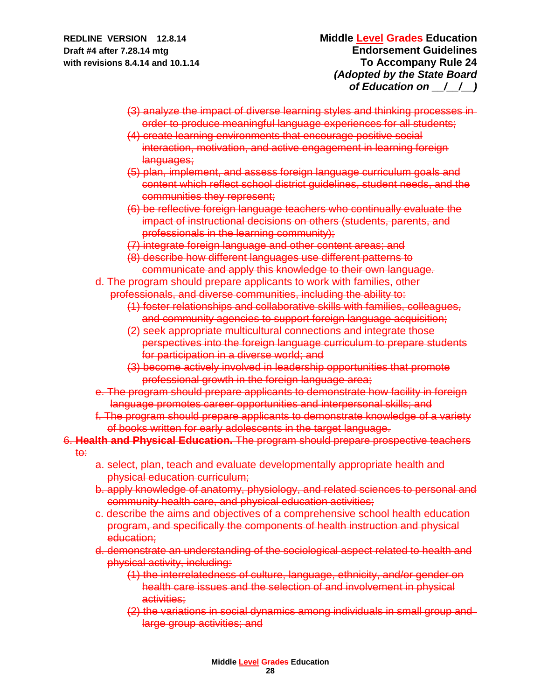- (3) analyze the impact of diverse learning styles and thinking processes in order to produce meaningful language experiences for all students;
- (4) create learning environments that encourage positive social interaction, motivation, and active engagement in learning foreign languages;
- (5) plan, implement, and assess foreign language curriculum goals and content which reflect school district guidelines, student needs, and the communities they represent;
- (6) be reflective foreign language teachers who continually evaluate the impact of instructional decisions on others (students, parents, and professionals in the learning community);
- (7) integrate foreign language and other content areas; and
- (8) describe how different languages use different patterns to communicate and apply this knowledge to their own language.
- d. The program should prepare applicants to work with families, other professionals, and diverse communities, including the ability to:
	- (1) foster relationships and collaborative skills with families, colleagues, and community agencies to support foreign language acquisition;
	- (2) seek appropriate multicultural connections and integrate those perspectives into the foreign language curriculum to prepare students for participation in a diverse world; and
	- (3) become actively involved in leadership opportunities that promote professional growth in the foreign language area;
- e. The program should prepare applicants to demonstrate how facility in foreign language promotes career opportunities and interpersonal skills; and
- f. The program should prepare applicants to demonstrate knowledge of a variety of books written for early adolescents in the target language.
- 6. **Health and Physical Education.** The program should prepare prospective teachers

to:

- a. select, plan, teach and evaluate developmentally appropriate health and physical education curriculum;
- b. apply knowledge of anatomy, physiology, and related sciences to personal and community health care, and physical education activities;
- c. describe the aims and objectives of a comprehensive school health education program, and specifically the components of health instruction and physical education;
- d. demonstrate an understanding of the sociological aspect related to health and physical activity, including:
	- (1) the interrelatedness of culture, language, ethnicity, and/or gender on health care issues and the selection of and involvement in physical activities:
	- (2) the variations in social dynamics among individuals in small group and large group activities; and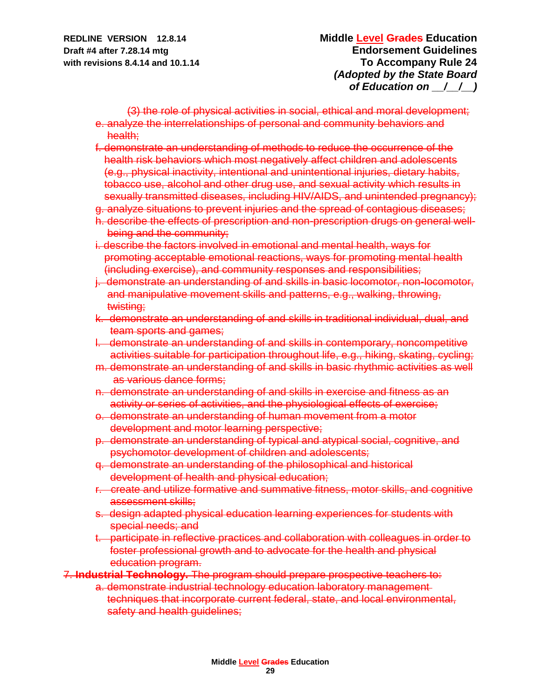(3) the role of physical activities in social, ethical and moral development; e. analyze the interrelationships of personal and community behaviors and health;

- f. demonstrate an understanding of methods to reduce the occurrence of the health risk behaviors which most negatively affect children and adolescents (e.g., physical inactivity, intentional and unintentional injuries, dietary habits, tobacco use, alcohol and other drug use, and sexual activity which results in sexually transmitted diseases, including HIV/AIDS, and unintended pregnancy);
- g. analyze situations to prevent injuries and the spread of contagious diseases;
- h. describe the effects of prescription and non-prescription drugs on general well being and the community;
- i. describe the factors involved in emotional and mental health, ways for promoting acceptable emotional reactions, ways for promoting mental health (including exercise), and community responses and responsibilities;
- j. demonstrate an understanding of and skills in basic locomotor, non-locomotor, and manipulative movement skills and patterns, e.g., walking, throwing, twisting;
- k. demonstrate an understanding of and skills in traditional individual, dual, and team sports and games;
- l. demonstrate an understanding of and skills in contemporary, noncompetitive activities suitable for participation throughout life, e.g., hiking, skating, cycling;
- m. demonstrate an understanding of and skills in basic rhythmic activities as well as various dance forms;
- n. demonstrate an understanding of and skills in exercise and fitness as an activity or series of activities, and the physiological effects of exercise;
- o. demonstrate an understanding of human movement from a motor development and motor learning perspective;
- p. demonstrate an understanding of typical and atypical social, cognitive, and psychomotor development of children and adolescents;
- q. demonstrate an understanding of the philosophical and historical development of health and physical education;
- r. create and utilize formative and summative fitness, motor skills, and cognitive assessment skills;
- s. design adapted physical education learning experiences for students with special needs; and
- t. participate in reflective practices and collaboration with colleagues in order to foster professional growth and to advocate for the health and physical education program.
- 7. **Industrial Technology.** The program should prepare prospective teachers to:
	- a. demonstrate industrial technology education laboratory management techniques that incorporate current federal, state, and local environmental, safety and health guidelines;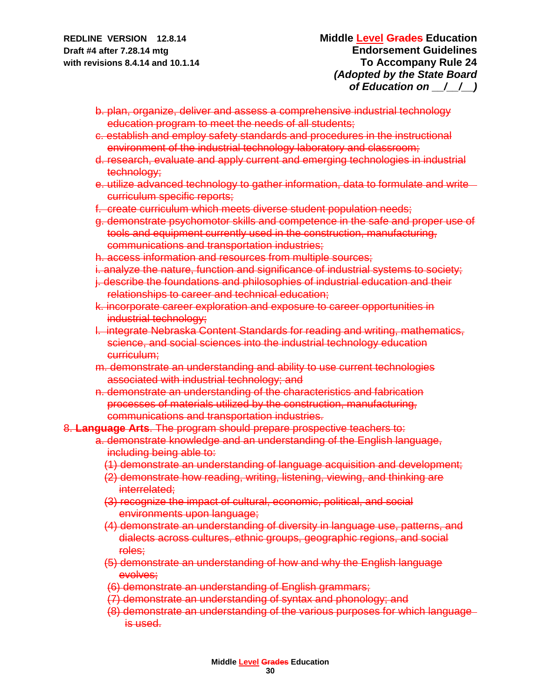- b. plan, organize, deliver and assess a comprehensive industrial technology education program to meet the needs of all students;
- c. establish and employ safety standards and procedures in the instructional environment of the industrial technology laboratory and classroom;
- d. research, evaluate and apply current and emerging technologies in industrial technology;
- e. utilize advanced technology to gather information, data to formulate and write curriculum specific reports;
- f. create curriculum which meets diverse student population needs;
- g. demonstrate psychomotor skills and competence in the safe and proper use of tools and equipment currently used in the construction, manufacturing, communications and transportation industries;
- h. access information and resources from multiple sources;
- i. analyze the nature, function and significance of industrial systems to society;
- j. describe the foundations and philosophies of industrial education and their relationships to career and technical education;
- k. incorporate career exploration and exposure to career opportunities in industrial technology;
- l. integrate Nebraska Content Standards for reading and writing, mathematics, science, and social sciences into the industrial technology education curriculum;
- m. demonstrate an understanding and ability to use current technologies associated with industrial technology; and
- n. demonstrate an understanding of the characteristics and fabrication processes of materials utilized by the construction, manufacturing, communications and transportation industries.

8. **Language Arts**. The program should prepare prospective teachers to:

- a. demonstrate knowledge and an understanding of the English language, including being able to:
	- (1) demonstrate an understanding of language acquisition and development;
	- (2) demonstrate how reading, writing, listening, viewing, and thinking are interrelated;
	- (3) recognize the impact of cultural, economic, political, and social environments upon language;
	- (4) demonstrate an understanding of diversity in language use, patterns, and dialects across cultures, ethnic groups, geographic regions, and social roles;
	- (5) demonstrate an understanding of how and why the English language evolves;
	- (6) demonstrate an understanding of English grammars;
	- (7) demonstrate an understanding of syntax and phonology; and
	- (8) demonstrate an understanding of the various purposes for which language is used.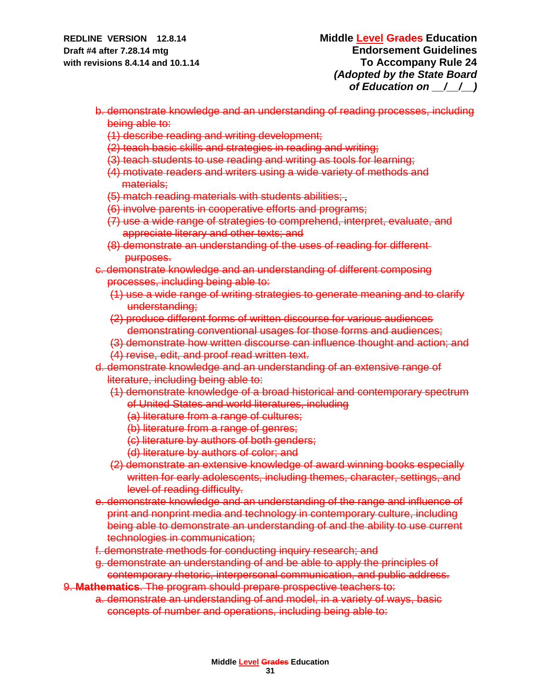- b. demonstrate knowledge and an understanding of reading processes, including being able to:
	- (1) describe reading and writing development;
	- (2) teach basic skills and strategies in reading and writing;
	- (3) teach students to use reading and writing as tools for learning;
	- (4) motivate readers and writers using a wide variety of methods and materials;
	- (5) match reading materials with students abilities;
	- (6) involve parents in cooperative efforts and programs;
	- (7) use a wide range of strategies to comprehend, interpret, evaluate, and appreciate literary and other texts; and
	- (8) demonstrate an understanding of the uses of reading for different purposes.
- c. demonstrate knowledge and an understanding of different composing processes, including being able to:
	- (1) use a wide range of writing strategies to generate meaning and to clarify understanding;
	- (2) produce different forms of written discourse for various audiences demonstrating conventional usages for those forms and audiences;
	- (3) demonstrate how written discourse can influence thought and action; and
	- (4) revise, edit, and proof read written text.
- d. demonstrate knowledge and an understanding of an extensive range of literature, including being able to:
	- (1) demonstrate knowledge of a broad historical and contemporary spectrum of United States and world literatures, including
		- (a) literature from a range of cultures;
		- (b) literature from a range of genres;
		- (c) literature by authors of both genders;
		- (d) literature by authors of color; and
	- (2) demonstrate an extensive knowledge of award winning books especially written for early adolescents, including themes, character, settings, and level of reading difficulty.
- e. demonstrate knowledge and an understanding of the range and influence of print and nonprint media and technology in contemporary culture, including being able to demonstrate an understanding of and the ability to use current technologies in communication;
- f. demonstrate methods for conducting inquiry research; and
- g. demonstrate an understanding of and be able to apply the principles of contemporary rhetoric, interpersonal communication, and public address.
- 9. **Mathematics**. The program should prepare prospective teachers to:
	- a. demonstrate an understanding of and model, in a variety of ways, basic concepts of number and operations, including being able to: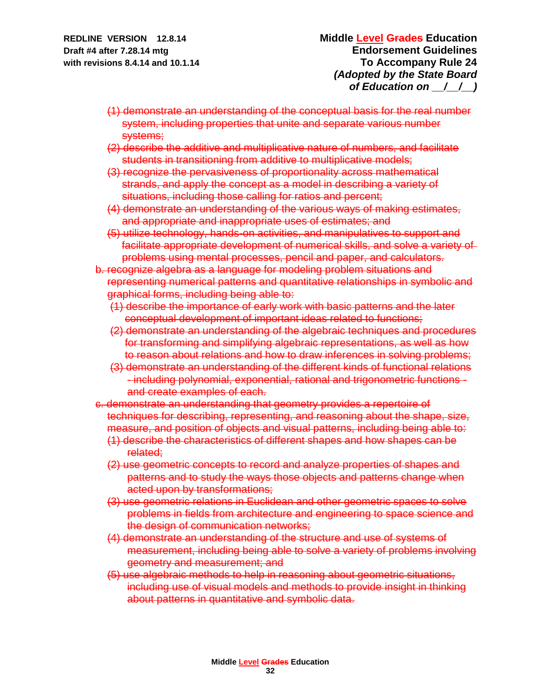- (1) demonstrate an understanding of the conceptual basis for the real number system, including properties that unite and separate various number systems;
- (2) describe the additive and multiplicative nature of numbers, and facilitate students in transitioning from additive to multiplicative models;
- (3) recognize the pervasiveness of proportionality across mathematical strands, and apply the concept as a model in describing a variety of situations, including those calling for ratios and percent;
- (4) demonstrate an understanding of the various ways of making estimates, and appropriate and inappropriate uses of estimates; and
- (5) utilize technology, hands-on activities, and manipulatives to support and facilitate appropriate development of numerical skills, and solve a variety of problems using mental processes, pencil and paper, and calculators.
- b. recognize algebra as a language for modeling problem situations and representing numerical patterns and quantitative relationships in symbolic and graphical forms, including being able to:
	- (1) describe the importance of early work with basic patterns and the later conceptual development of important ideas related to functions;
	- (2) demonstrate an understanding of the algebraic techniques and procedures for transforming and simplifying algebraic representations, as well as how to reason about relations and how to draw inferences in solving problems;
	- (3) demonstrate an understanding of the different kinds of functional relations - including polynomial, exponential, rational and trigonometric functions and create examples of each.
- c. demonstrate an understanding that geometry provides a repertoire of techniques for describing, representing, and reasoning about the shape, size, measure, and position of objects and visual patterns, including being able to:
	- (1) describe the characteristics of different shapes and how shapes can be related;
	- (2) use geometric concepts to record and analyze properties of shapes and patterns and to study the ways those objects and patterns change when acted upon by transformations;
	- (3) use geometric relations in Euclidean and other geometric spaces to solve problems in fields from architecture and engineering to space science and the design of communication networks;
	- (4) demonstrate an understanding of the structure and use of systems of measurement, including being able to solve a variety of problems involving geometry and measurement; and
	- (5) use algebraic methods to help in reasoning about geometric situations, including use of visual models and methods to provide insight in thinking about patterns in quantitative and symbolic data.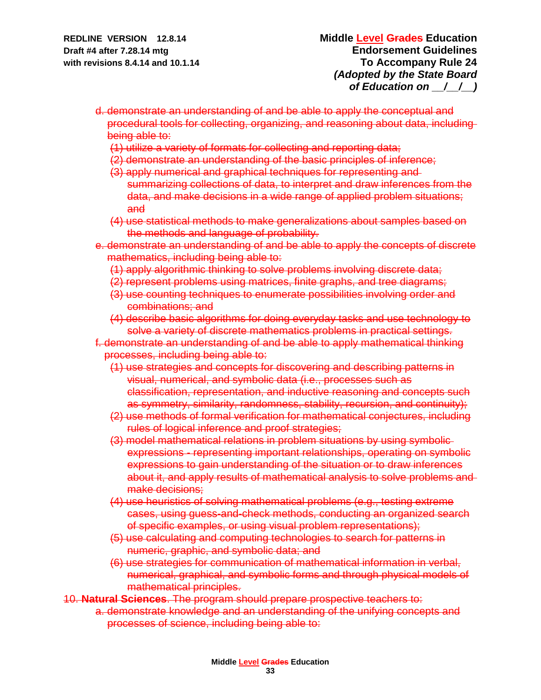- d. demonstrate an understanding of and be able to apply the conceptual and procedural tools for collecting, organizing, and reasoning about data, including being able to:
	- (1) utilize a variety of formats for collecting and reporting data;
	- (2) demonstrate an understanding of the basic principles of inference;
	- (3) apply numerical and graphical techniques for representing and summarizing collections of data, to interpret and draw inferences from the data, and make decisions in a wide range of applied problem situations;
	- and (4) use statistical methods to make generalizations about samples based on the methods and language of probability.
- e. demonstrate an understanding of and be able to apply the concepts of discrete mathematics, including being able to:
	- (1) apply algorithmic thinking to solve problems involving discrete data;
	- (2) represent problems using matrices, finite graphs, and tree diagrams;
	- (3) use counting techniques to enumerate possibilities involving order and combinations; and
	- (4) describe basic algorithms for doing everyday tasks and use technology to solve a variety of discrete mathematics problems in practical settings.
- f. demonstrate an understanding of and be able to apply mathematical thinking processes, including being able to:
	- (1) use strategies and concepts for discovering and describing patterns in visual, numerical, and symbolic data (i.e., processes such as classification, representation, and inductive reasoning and concepts such as symmetry, similarity, randomness, stability, recursion, and continuity);
	- (2) use methods of formal verification for mathematical conjectures, including rules of logical inference and proof strategies;
	- (3) model mathematical relations in problem situations by using symbolic expressions - representing important relationships, operating on symbolic expressions to gain understanding of the situation or to draw inferences about it, and apply results of mathematical analysis to solve problems and make decisions;
	- (4) use heuristics of solving mathematical problems (e.g., testing extreme cases, using guess-and-check methods, conducting an organized search of specific examples, or using visual problem representations);
	- (5) use calculating and computing technologies to search for patterns in numeric, graphic, and symbolic data; and
	- (6) use strategies for communication of mathematical information in verbal, numerical, graphical, and symbolic forms and through physical models of mathematical principles.
- 10. **Natural Sciences**. The program should prepare prospective teachers to:
	- a. demonstrate knowledge and an understanding of the unifying concepts and processes of science, including being able to: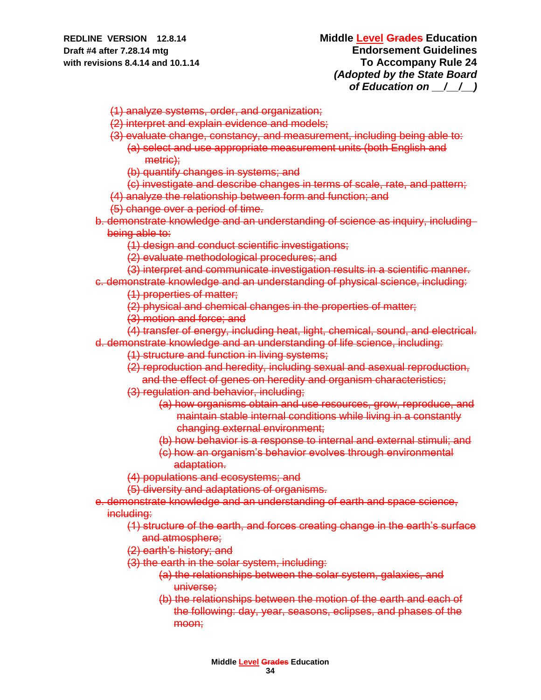## **REDLINE VERSION 12.8.14 Middle Level Grades Education Draft #4 after 7.28.14 mtg Endorsement Guidelines with revisions 8.4.14 and 10.1.14 To Accompany Rule 24** *(Adopted by the State Board of Education on \_\_/\_\_/\_\_)*

(1) analyze systems, order, and organization;

- (2) interpret and explain evidence and models;
- (3) evaluate change, constancy, and measurement, including being able to:
	- (a) select and use appropriate measurement units (both English and metric);
	- (b) quantify changes in systems; and
	- (c) investigate and describe changes in terms of scale, rate, and pattern;
- (4) analyze the relationship between form and function; and
- (5) change over a period of time.
- b. demonstrate knowledge and an understanding of science as inquiry, including being able to:
	- (1) design and conduct scientific investigations;

(2) evaluate methodological procedures; and

- (3) interpret and communicate investigation results in a scientific manner.
- c. demonstrate knowledge and an understanding of physical science, including:

(1) properties of matter;

- (2) physical and chemical changes in the properties of matter;
- (3) motion and force; and

(4) transfer of energy, including heat, light, chemical, sound, and electrical. d. demonstrate knowledge and an understanding of life science, including:

- (1) structure and function in living systems;
- (2) reproduction and heredity, including sexual and asexual reproduction,
- and the effect of genes on heredity and organism characteristics;
- (3) regulation and behavior, including;
	- (a) how organisms obtain and use resources, grow, reproduce, and maintain stable internal conditions while living in a constantly changing external environment;
	- (b) how behavior is a response to internal and external stimuli; and
	- (c) how an organism's behavior evolves through environmental adaptation.

(4) populations and ecosystems; and

(5) diversity and adaptations of organisms.

- e. demonstrate knowledge and an understanding of earth and space science, including:
	- (1) structure of the earth, and forces creating change in the earth's surface and atmosphere;
	- (2) earth's history; and
	- (3) the earth in the solar system, including:
		- (a) the relationships between the solar system, galaxies, and universe;
		- (b) the relationships between the motion of the earth and each of the following: day, year, seasons, eclipses, and phases of the moon;